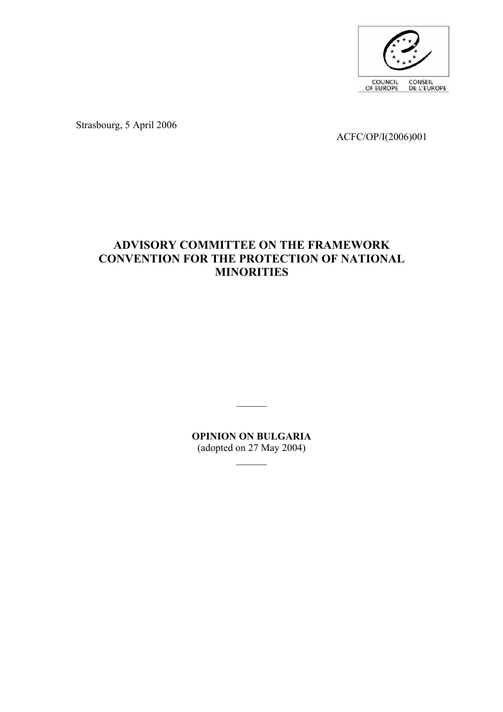

Strasbourg, 5 April 2006

ACFC/OP/I(2006)001

# **ADVISORY COMMITTEE ON THE FRAMEWORK CONVENTION FOR THE PROTECTION OF NATIONAL MINORITIES**

**OPINION ON BULGARIA**  (adopted on 27 May 2004)

 $\mathcal{L}_\text{max}$ 

 $\mathcal{L}_\text{max}$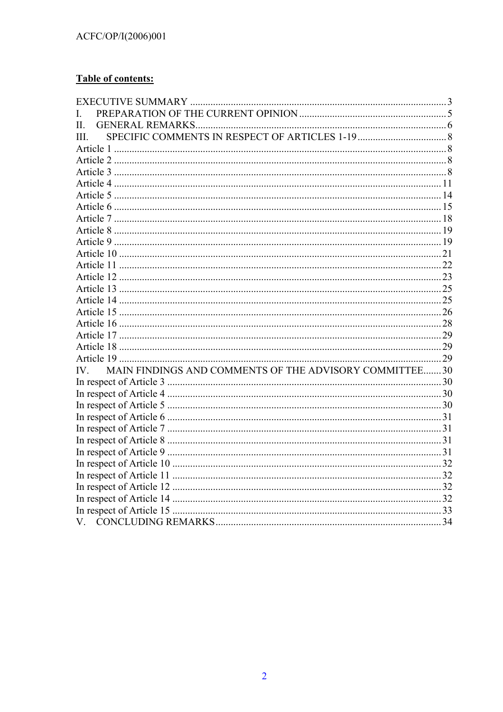### **Table of contents:**

| L                                                            |  |
|--------------------------------------------------------------|--|
| II.                                                          |  |
| Ш                                                            |  |
|                                                              |  |
|                                                              |  |
|                                                              |  |
|                                                              |  |
|                                                              |  |
|                                                              |  |
|                                                              |  |
|                                                              |  |
|                                                              |  |
|                                                              |  |
|                                                              |  |
|                                                              |  |
|                                                              |  |
|                                                              |  |
|                                                              |  |
|                                                              |  |
|                                                              |  |
|                                                              |  |
|                                                              |  |
| MAIN FINDINGS AND COMMENTS OF THE ADVISORY COMMITTEE30<br>IV |  |
|                                                              |  |
|                                                              |  |
|                                                              |  |
|                                                              |  |
|                                                              |  |
|                                                              |  |
|                                                              |  |
|                                                              |  |
|                                                              |  |
|                                                              |  |
|                                                              |  |
|                                                              |  |
| V.                                                           |  |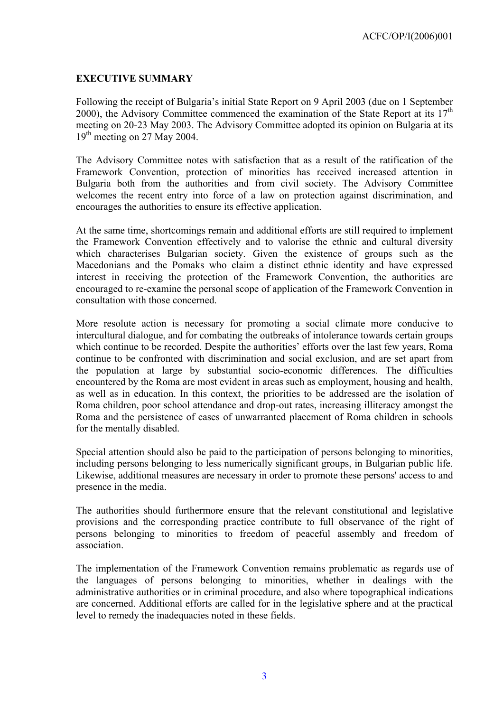#### <span id="page-2-0"></span>**EXECUTIVE SUMMARY**

Following the receipt of Bulgaria's initial State Report on 9 April 2003 (due on 1 September 2000), the Advisory Committee commenced the examination of the State Report at its  $17<sup>th</sup>$ meeting on 20-23 May 2003. The Advisory Committee adopted its opinion on Bulgaria at its  $19<sup>th</sup>$  meeting on 27 May 2004.

The Advisory Committee notes with satisfaction that as a result of the ratification of the Framework Convention, protection of minorities has received increased attention in Bulgaria both from the authorities and from civil society. The Advisory Committee welcomes the recent entry into force of a law on protection against discrimination, and encourages the authorities to ensure its effective application.

At the same time, shortcomings remain and additional efforts are still required to implement the Framework Convention effectively and to valorise the ethnic and cultural diversity which characterises Bulgarian society. Given the existence of groups such as the Macedonians and the Pomaks who claim a distinct ethnic identity and have expressed interest in receiving the protection of the Framework Convention, the authorities are encouraged to re-examine the personal scope of application of the Framework Convention in consultation with those concerned.

More resolute action is necessary for promoting a social climate more conducive to intercultural dialogue, and for combating the outbreaks of intolerance towards certain groups which continue to be recorded. Despite the authorities' efforts over the last few years, Roma continue to be confronted with discrimination and social exclusion, and are set apart from the population at large by substantial socio-economic differences. The difficulties encountered by the Roma are most evident in areas such as employment, housing and health, as well as in education. In this context, the priorities to be addressed are the isolation of Roma children, poor school attendance and drop-out rates, increasing illiteracy amongst the Roma and the persistence of cases of unwarranted placement of Roma children in schools for the mentally disabled.

Special attention should also be paid to the participation of persons belonging to minorities, including persons belonging to less numerically significant groups, in Bulgarian public life. Likewise, additional measures are necessary in order to promote these persons' access to and presence in the media.

The authorities should furthermore ensure that the relevant constitutional and legislative provisions and the corresponding practice contribute to full observance of the right of persons belonging to minorities to freedom of peaceful assembly and freedom of association.

The implementation of the Framework Convention remains problematic as regards use of the languages of persons belonging to minorities, whether in dealings with the administrative authorities or in criminal procedure, and also where topographical indications are concerned. Additional efforts are called for in the legislative sphere and at the practical level to remedy the inadequacies noted in these fields.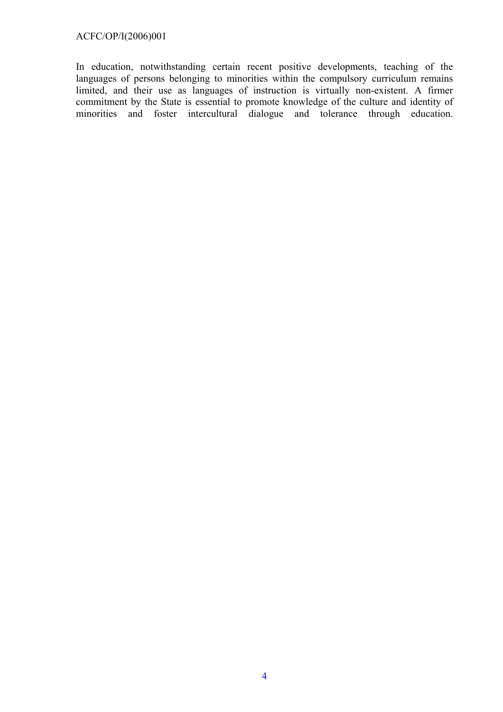#### ACFC/OP/I(2006)001

In education, notwithstanding certain recent positive developments, teaching of the languages of persons belonging to minorities within the compulsory curriculum remains limited, and their use as languages of instruction is virtually non-existent. A firmer commitment by the State is essential to promote knowledge of the culture and identity of minorities and foster intercultural dialogue and tolerance through education.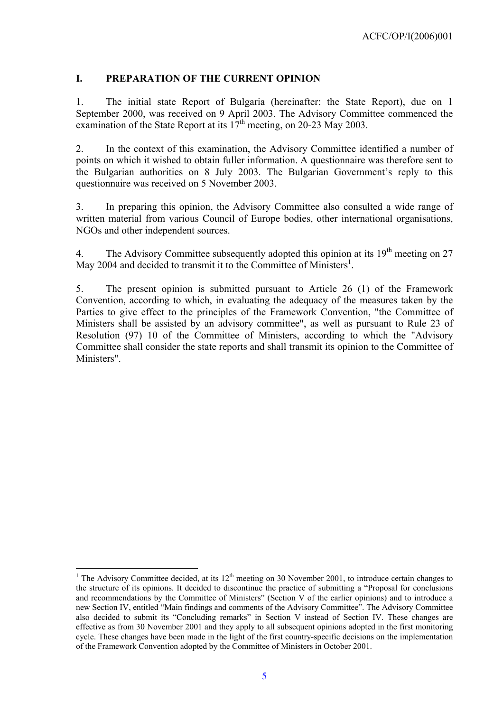#### <span id="page-4-0"></span>**I. PREPARATION OF THE CURRENT OPINION**

1. The initial state Report of Bulgaria (hereinafter: the State Report), due on 1 September 2000, was received on 9 April 2003. The Advisory Committee commenced the examination of the State Report at its  $17<sup>th</sup>$  meeting, on 20-23 May 2003.

2. In the context of this examination, the Advisory Committee identified a number of points on which it wished to obtain fuller information. A questionnaire was therefore sent to the Bulgarian authorities on 8 July 2003. The Bulgarian Government's reply to this questionnaire was received on 5 November 2003.

3. In preparing this opinion, the Advisory Committee also consulted a wide range of written material from various Council of Europe bodies, other international organisations, NGOs and other independent sources.

4. The Advisory Committee subsequently adopted this opinion at its  $19<sup>th</sup>$  meeting on 27 May 2004 and decided to transmit it to the Committee of Ministers<sup>[1](#page-4-1)</sup>.

5. The present opinion is submitted pursuant to Article 26 (1) of the Framework Convention, according to which, in evaluating the adequacy of the measures taken by the Parties to give effect to the principles of the Framework Convention, "the Committee of Ministers shall be assisted by an advisory committee", as well as pursuant to Rule 23 of Resolution (97) 10 of the Committee of Ministers, according to which the "Advisory Committee shall consider the state reports and shall transmit its opinion to the Committee of Ministers".

 $\overline{a}$ 

<span id="page-4-1"></span><sup>&</sup>lt;sup>1</sup> The Advisory Committee decided, at its  $12<sup>th</sup>$  meeting on 30 November 2001, to introduce certain changes to the structure of its opinions. It decided to discontinue the practice of submitting a "Proposal for conclusions and recommendations by the Committee of Ministers" (Section V of the earlier opinions) and to introduce a new Section IV, entitled "Main findings and comments of the Advisory Committee". The Advisory Committee also decided to submit its "Concluding remarks" in Section V instead of Section IV. These changes are effective as from 30 November 2001 and they apply to all subsequent opinions adopted in the first monitoring cycle. These changes have been made in the light of the first country-specific decisions on the implementation of the Framework Convention adopted by the Committee of Ministers in October 2001.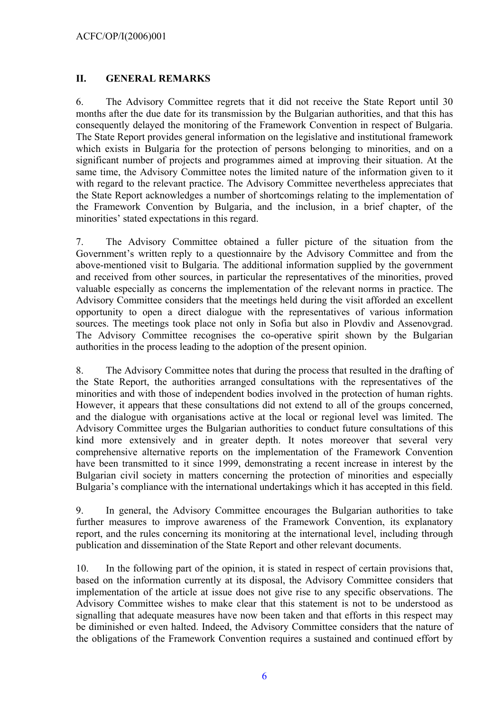### <span id="page-5-0"></span>**II. GENERAL REMARKS**

6. The Advisory Committee regrets that it did not receive the State Report until 30 months after the due date for its transmission by the Bulgarian authorities, and that this has consequently delayed the monitoring of the Framework Convention in respect of Bulgaria. The State Report provides general information on the legislative and institutional framework which exists in Bulgaria for the protection of persons belonging to minorities, and on a significant number of projects and programmes aimed at improving their situation. At the same time, the Advisory Committee notes the limited nature of the information given to it with regard to the relevant practice. The Advisory Committee nevertheless appreciates that the State Report acknowledges a number of shortcomings relating to the implementation of the Framework Convention by Bulgaria, and the inclusion, in a brief chapter, of the minorities' stated expectations in this regard.

7. The Advisory Committee obtained a fuller picture of the situation from the Government's written reply to a questionnaire by the Advisory Committee and from the above-mentioned visit to Bulgaria. The additional information supplied by the government and received from other sources, in particular the representatives of the minorities, proved valuable especially as concerns the implementation of the relevant norms in practice. The Advisory Committee considers that the meetings held during the visit afforded an excellent opportunity to open a direct dialogue with the representatives of various information sources. The meetings took place not only in Sofia but also in Plovdiv and Assenovgrad. The Advisory Committee recognises the co-operative spirit shown by the Bulgarian authorities in the process leading to the adoption of the present opinion.

8. The Advisory Committee notes that during the process that resulted in the drafting of the State Report, the authorities arranged consultations with the representatives of the minorities and with those of independent bodies involved in the protection of human rights. However, it appears that these consultations did not extend to all of the groups concerned, and the dialogue with organisations active at the local or regional level was limited. The Advisory Committee urges the Bulgarian authorities to conduct future consultations of this kind more extensively and in greater depth. It notes moreover that several very comprehensive alternative reports on the implementation of the Framework Convention have been transmitted to it since 1999, demonstrating a recent increase in interest by the Bulgarian civil society in matters concerning the protection of minorities and especially Bulgaria's compliance with the international undertakings which it has accepted in this field.

9. In general, the Advisory Committee encourages the Bulgarian authorities to take further measures to improve awareness of the Framework Convention, its explanatory report, and the rules concerning its monitoring at the international level, including through publication and dissemination of the State Report and other relevant documents.

10. In the following part of the opinion, it is stated in respect of certain provisions that, based on the information currently at its disposal, the Advisory Committee considers that implementation of the article at issue does not give rise to any specific observations. The Advisory Committee wishes to make clear that this statement is not to be understood as signalling that adequate measures have now been taken and that efforts in this respect may be diminished or even halted. Indeed, the Advisory Committee considers that the nature of the obligations of the Framework Convention requires a sustained and continued effort by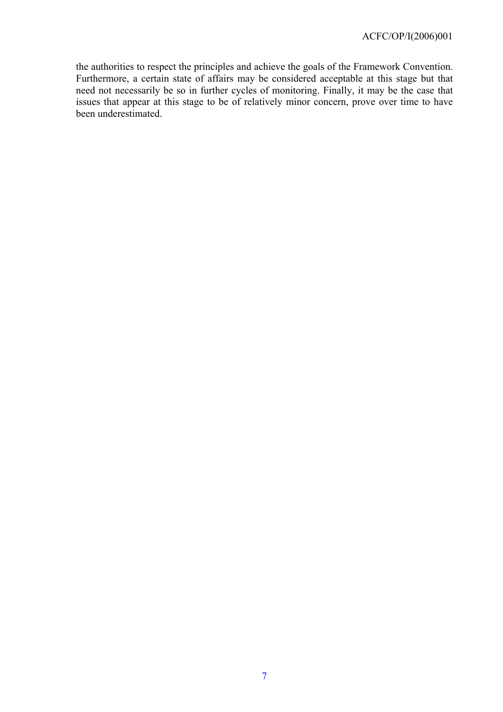the authorities to respect the principles and achieve the goals of the Framework Convention. Furthermore, a certain state of affairs may be considered acceptable at this stage but that need not necessarily be so in further cycles of monitoring. Finally, it may be the case that issues that appear at this stage to be of relatively minor concern, prove over time to have been underestimated.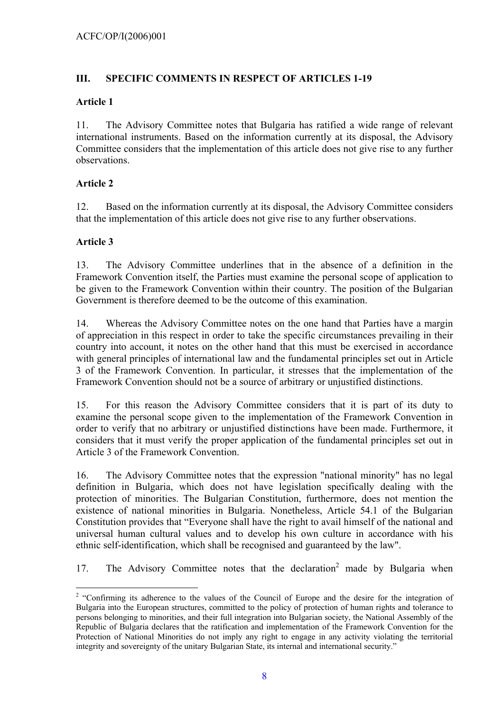### <span id="page-7-0"></span>**III. SPECIFIC COMMENTS IN RESPECT OF ARTICLES 1-19**

### **Article 1**

11. The Advisory Committee notes that Bulgaria has ratified a wide range of relevant international instruments. Based on the information currently at its disposal, the Advisory Committee considers that the implementation of this article does not give rise to any further observations.

# **Article 2**

12. Based on the information currently at its disposal, the Advisory Committee considers that the implementation of this article does not give rise to any further observations.

# **Article 3**

13. The Advisory Committee underlines that in the absence of a definition in the Framework Convention itself, the Parties must examine the personal scope of application to be given to the Framework Convention within their country. The position of the Bulgarian Government is therefore deemed to be the outcome of this examination.

14. Whereas the Advisory Committee notes on the one hand that Parties have a margin of appreciation in this respect in order to take the specific circumstances prevailing in their country into account, it notes on the other hand that this must be exercised in accordance with general principles of international law and the fundamental principles set out in Article 3 of the Framework Convention. In particular, it stresses that the implementation of the Framework Convention should not be a source of arbitrary or unjustified distinctions.

15. For this reason the Advisory Committee considers that it is part of its duty to examine the personal scope given to the implementation of the Framework Convention in order to verify that no arbitrary or unjustified distinctions have been made. Furthermore, it considers that it must verify the proper application of the fundamental principles set out in Article 3 of the Framework Convention.

16. The Advisory Committee notes that the expression "national minority" has no legal definition in Bulgaria, which does not have legislation specifically dealing with the protection of minorities. The Bulgarian Constitution, furthermore, does not mention the existence of national minorities in Bulgaria. Nonetheless, Article 54.1 of the Bulgarian Constitution provides that "Everyone shall have the right to avail himself of the national and universal human cultural values and to develop his own culture in accordance with his ethnic self-identification, which shall be recognised and guaranteed by the law".

17. The Advisory Committee notes that the declaration<sup>[2](#page-7-1)</sup> made by Bulgaria when

<span id="page-7-1"></span><sup>&</sup>lt;sup>2</sup> "Confirming its adherence to the values of the Council of Europe and the desire for the integration of Bulgaria into the European structures, committed to the policy of protection of human rights and tolerance to persons belonging to minorities, and their full integration into Bulgarian society, the National Assembly of the Republic of Bulgaria declares that the ratification and implementation of the Framework Convention for the Protection of National Minorities do not imply any right to engage in any activity violating the territorial integrity and sovereignty of the unitary Bulgarian State, its internal and international security."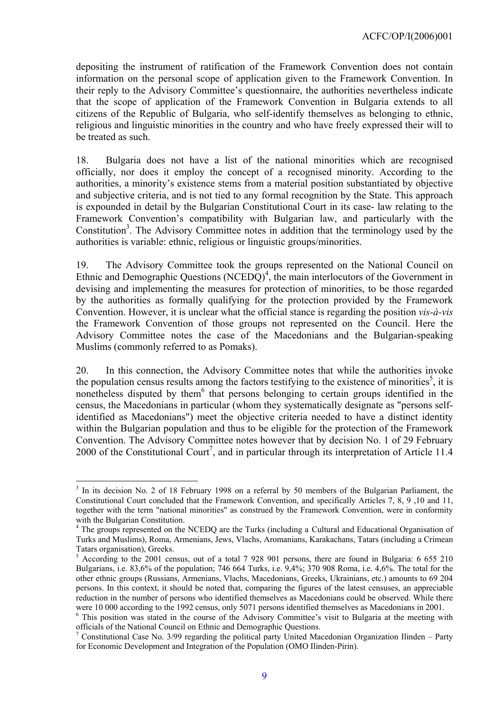depositing the instrument of ratification of the Framework Convention does not contain information on the personal scope of application given to the Framework Convention. In their reply to the Advisory Committee's questionnaire, the authorities nevertheless indicate that the scope of application of the Framework Convention in Bulgaria extends to all citizens of the Republic of Bulgaria, who self-identify themselves as belonging to ethnic, religious and linguistic minorities in the country and who have freely expressed their will to be treated as such.

18. Bulgaria does not have a list of the national minorities which are recognised officially, nor does it employ the concept of a recognised minority. According to the authorities, a minority's existence stems from a material position substantiated by objective and subjective criteria, and is not tied to any formal recognition by the State. This approach is expounded in detail by the Bulgarian Constitutional Court in its case- law relating to the Framework Convention's compatibility with Bulgarian law, and particularly with the Constitution<sup>3</sup>. The Advisory Committee notes in addition that the terminology used by the authorities is variable: ethnic, religious or linguistic groups/minorities.

19. The Advisory Committee took the groups represented on the National Council on Ethnic and Demographic Questions  $(NCEDQ)^4$  $(NCEDQ)^4$ , the main interlocutors of the Government in devising and implementing the measures for protection of minorities, to be those regarded by the authorities as formally qualifying for the protection provided by the Framework Convention. However, it is unclear what the official stance is regarding the position *vis-à-vis* the Framework Convention of those groups not represented on the Council. Here the Advisory Committee notes the case of the Macedonians and the Bulgarian-speaking Muslims (commonly referred to as Pomaks).

20. In this connection, the Advisory Committee notes that while the authorities invoke the population census results among the factors testifying to the existence of minorities<sup>[5](#page-8-2)</sup>, it is nonetheless disputed by them<sup>[6](#page-8-3)</sup> that persons belonging to certain groups identified in the census, the Macedonians in particular (whom they systematically designate as "persons selfidentified as Macedonians") meet the objective criteria needed to have a distinct identity within the Bulgarian population and thus to be eligible for the protection of the Framework Convention. The Advisory Committee notes however that by decision No. 1 of 29 February 2000 of the Constitutional Court<sup>[7](#page-8-4)</sup>, and in particular through its interpretation of Article 11.4

 $\overline{a}$ 

<span id="page-8-0"></span><sup>&</sup>lt;sup>3</sup> In its decision No. 2 of 18 February 1998 on a referral by 50 members of the Bulgarian Parliament, the Constitutional Court concluded that the Framework Convention, and specifically Articles 7, 8, 9 ,10 and 11, together with the term "national minorities" as construed by the Framework Convention, were in conformity with the Bulgarian Constitution.

<span id="page-8-1"></span><sup>&</sup>lt;sup>4</sup> The groups represented on the NCEDQ are the Turks (including a Cultural and Educational Organisation of Turks and Muslims), Roma, Armenians, Jews, Vlachs, Aromanians, Karakachans, Tatars (including a Crimean Tatars organisation), Greeks. 5

<span id="page-8-2"></span> $5$  According to the 2001 census, out of a total 7 928 901 persons, there are found in Bulgaria: 6 655 210 Bulgarians, i.e. 83,6% of the population; 746 664 Turks, i.e. 9,4%; 370 908 Roma, i.e. 4,6%. The total for the other ethnic groups (Russians, Armenians, Vlachs, Macedonians, Greeks, Ukrainians, etc.) amounts to 69 204 persons. In this context, it should be noted that, comparing the figures of the latest censuses, an appreciable reduction in the number of persons who identified themselves as Macedonians could be observed. While there were 10 000 according to the 1992 census, only 5071 persons identified themselves as Macedonians in 2001.

<span id="page-8-3"></span><sup>&</sup>lt;sup>6</sup> This position was stated in the course of the Advisory Committee's visit to Bulgaria at the meeting with officials of the National Council on Ethnic and Demographic Questions. 7

<span id="page-8-4"></span><sup>&</sup>lt;sup>7</sup> Constitutional Case No. 3/99 regarding the political party United Macedonian Organization Ilinden – Party for Economic Development and Integration of the Population (OMO Ilinden-Pirin).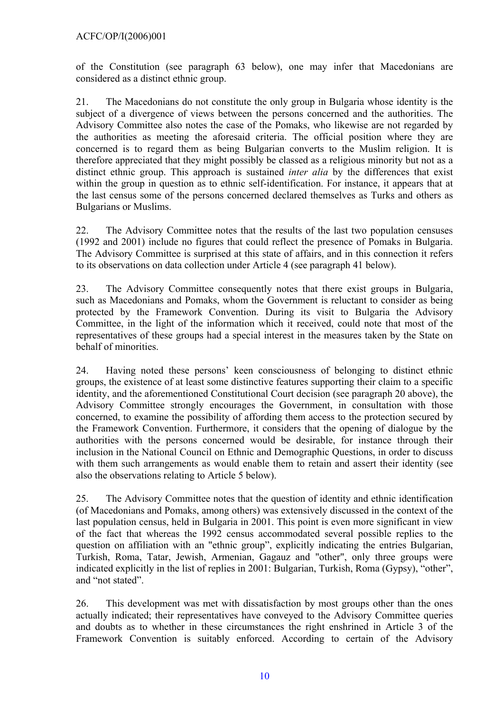of the Constitution (see paragraph 63 below), one may infer that Macedonians are considered as a distinct ethnic group.

21. The Macedonians do not constitute the only group in Bulgaria whose identity is the subject of a divergence of views between the persons concerned and the authorities. The Advisory Committee also notes the case of the Pomaks, who likewise are not regarded by the authorities as meeting the aforesaid criteria. The official position where they are concerned is to regard them as being Bulgarian converts to the Muslim religion. It is therefore appreciated that they might possibly be classed as a religious minority but not as a distinct ethnic group. This approach is sustained *inter alia* by the differences that exist within the group in question as to ethnic self-identification. For instance, it appears that at the last census some of the persons concerned declared themselves as Turks and others as Bulgarians or Muslims.

22. The Advisory Committee notes that the results of the last two population censuses (1992 and 2001) include no figures that could reflect the presence of Pomaks in Bulgaria. The Advisory Committee is surprised at this state of affairs, and in this connection it refers to its observations on data collection under Article 4 (see paragraph 41 below).

23. The Advisory Committee consequently notes that there exist groups in Bulgaria, such as Macedonians and Pomaks, whom the Government is reluctant to consider as being protected by the Framework Convention. During its visit to Bulgaria the Advisory Committee, in the light of the information which it received, could note that most of the representatives of these groups had a special interest in the measures taken by the State on behalf of minorities.

24. Having noted these persons' keen consciousness of belonging to distinct ethnic groups, the existence of at least some distinctive features supporting their claim to a specific identity, and the aforementioned Constitutional Court decision (see paragraph 20 above), the Advisory Committee strongly encourages the Government, in consultation with those concerned, to examine the possibility of affording them access to the protection secured by the Framework Convention. Furthermore, it considers that the opening of dialogue by the authorities with the persons concerned would be desirable, for instance through their inclusion in the National Council on Ethnic and Demographic Questions, in order to discuss with them such arrangements as would enable them to retain and assert their identity (see also the observations relating to Article 5 below).

25. The Advisory Committee notes that the question of identity and ethnic identification (of Macedonians and Pomaks, among others) was extensively discussed in the context of the last population census, held in Bulgaria in 2001. This point is even more significant in view of the fact that whereas the 1992 census accommodated several possible replies to the question on affiliation with an "ethnic group", explicitly indicating the entries Bulgarian, Turkish, Roma, Tatar, Jewish, Armenian, Gagauz and "other", only three groups were indicated explicitly in the list of replies in 2001: Bulgarian, Turkish, Roma (Gypsy), "other", and "not stated".

26. This development was met with dissatisfaction by most groups other than the ones actually indicated; their representatives have conveyed to the Advisory Committee queries and doubts as to whether in these circumstances the right enshrined in Article 3 of the Framework Convention is suitably enforced. According to certain of the Advisory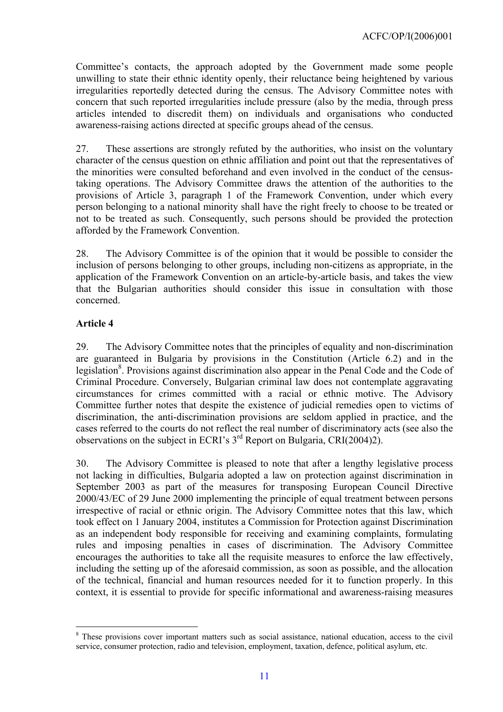<span id="page-10-0"></span>Committee's contacts, the approach adopted by the Government made some people unwilling to state their ethnic identity openly, their reluctance being heightened by various irregularities reportedly detected during the census. The Advisory Committee notes with concern that such reported irregularities include pressure (also by the media, through press articles intended to discredit them) on individuals and organisations who conducted awareness-raising actions directed at specific groups ahead of the census.

27. These assertions are strongly refuted by the authorities, who insist on the voluntary character of the census question on ethnic affiliation and point out that the representatives of the minorities were consulted beforehand and even involved in the conduct of the censustaking operations. The Advisory Committee draws the attention of the authorities to the provisions of Article 3, paragraph 1 of the Framework Convention, under which every person belonging to a national minority shall have the right freely to choose to be treated or not to be treated as such. Consequently, such persons should be provided the protection afforded by the Framework Convention.

28. The Advisory Committee is of the opinion that it would be possible to consider the inclusion of persons belonging to other groups, including non-citizens as appropriate, in the application of the Framework Convention on an article-by-article basis, and takes the view that the Bulgarian authorities should consider this issue in consultation with those concerned.

### **Article 4**

 $\overline{a}$ 

29. The Advisory Committee notes that the principles of equality and non-discrimination are guaranteed in Bulgaria by provisions in the Constitution (Article 6.2) and in the legislation<sup>[8](#page-10-1)</sup>. Provisions against discrimination also appear in the Penal Code and the Code of Criminal Procedure. Conversely, Bulgarian criminal law does not contemplate aggravating circumstances for crimes committed with a racial or ethnic motive. The Advisory Committee further notes that despite the existence of judicial remedies open to victims of discrimination, the anti-discrimination provisions are seldom applied in practice, and the cases referred to the courts do not reflect the real number of discriminatory acts (see also the observations on the subject in ECRI's  $3<sup>rd</sup>$  Report on Bulgaria, CRI(2004)2).

30. The Advisory Committee is pleased to note that after a lengthy legislative process not lacking in difficulties, Bulgaria adopted a law on protection against discrimination in September 2003 as part of the measures for transposing European Council Directive 2000/43/EC of 29 June 2000 implementing the principle of equal treatment between persons irrespective of racial or ethnic origin. The Advisory Committee notes that this law, which took effect on 1 January 2004, institutes a Commission for Protection against Discrimination as an independent body responsible for receiving and examining complaints, formulating rules and imposing penalties in cases of discrimination. The Advisory Committee encourages the authorities to take all the requisite measures to enforce the law effectively, including the setting up of the aforesaid commission, as soon as possible, and the allocation of the technical, financial and human resources needed for it to function properly. In this context, it is essential to provide for specific informational and awareness-raising measures

<span id="page-10-1"></span><sup>&</sup>lt;sup>8</sup> These provisions cover important matters such as social assistance, national education, access to the civil service, consumer protection, radio and television, employment, taxation, defence, political asylum, etc.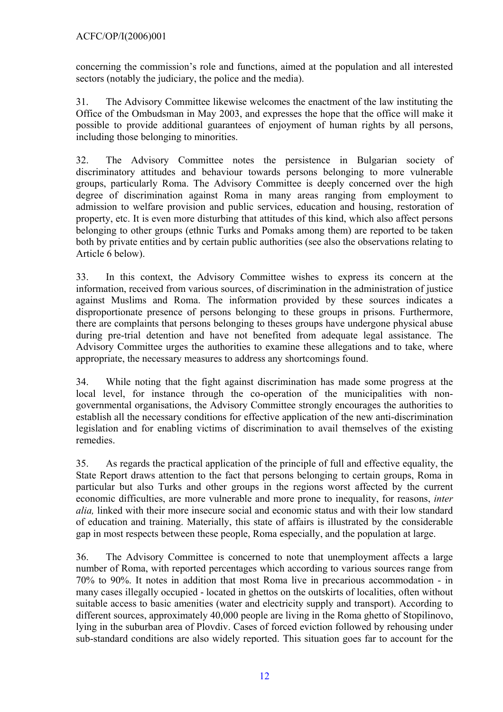concerning the commission's role and functions, aimed at the population and all interested sectors (notably the judiciary, the police and the media).

31. The Advisory Committee likewise welcomes the enactment of the law instituting the Office of the Ombudsman in May 2003, and expresses the hope that the office will make it possible to provide additional guarantees of enjoyment of human rights by all persons, including those belonging to minorities.

32. The Advisory Committee notes the persistence in Bulgarian society of discriminatory attitudes and behaviour towards persons belonging to more vulnerable groups, particularly Roma. The Advisory Committee is deeply concerned over the high degree of discrimination against Roma in many areas ranging from employment to admission to welfare provision and public services, education and housing, restoration of property, etc. It is even more disturbing that attitudes of this kind, which also affect persons belonging to other groups (ethnic Turks and Pomaks among them) are reported to be taken both by private entities and by certain public authorities (see also the observations relating to Article 6 below).

33. In this context, the Advisory Committee wishes to express its concern at the information, received from various sources, of discrimination in the administration of justice against Muslims and Roma. The information provided by these sources indicates a disproportionate presence of persons belonging to these groups in prisons. Furthermore, there are complaints that persons belonging to theses groups have undergone physical abuse during pre-trial detention and have not benefited from adequate legal assistance. The Advisory Committee urges the authorities to examine these allegations and to take, where appropriate, the necessary measures to address any shortcomings found.

34. While noting that the fight against discrimination has made some progress at the local level, for instance through the co-operation of the municipalities with nongovernmental organisations, the Advisory Committee strongly encourages the authorities to establish all the necessary conditions for effective application of the new anti-discrimination legislation and for enabling victims of discrimination to avail themselves of the existing remedies.

35. As regards the practical application of the principle of full and effective equality, the State Report draws attention to the fact that persons belonging to certain groups, Roma in particular but also Turks and other groups in the regions worst affected by the current economic difficulties, are more vulnerable and more prone to inequality, for reasons, *inter alia,* linked with their more insecure social and economic status and with their low standard of education and training. Materially, this state of affairs is illustrated by the considerable gap in most respects between these people, Roma especially, and the population at large.

36. The Advisory Committee is concerned to note that unemployment affects a large number of Roma, with reported percentages which according to various sources range from 70% to 90%. It notes in addition that most Roma live in precarious accommodation - in many cases illegally occupied - located in ghettos on the outskirts of localities, often without suitable access to basic amenities (water and electricity supply and transport). According to different sources, approximately 40,000 people are living in the Roma ghetto of Stopilinovo, lying in the suburban area of Plovdiv. Cases of forced eviction followed by rehousing under sub-standard conditions are also widely reported. This situation goes far to account for the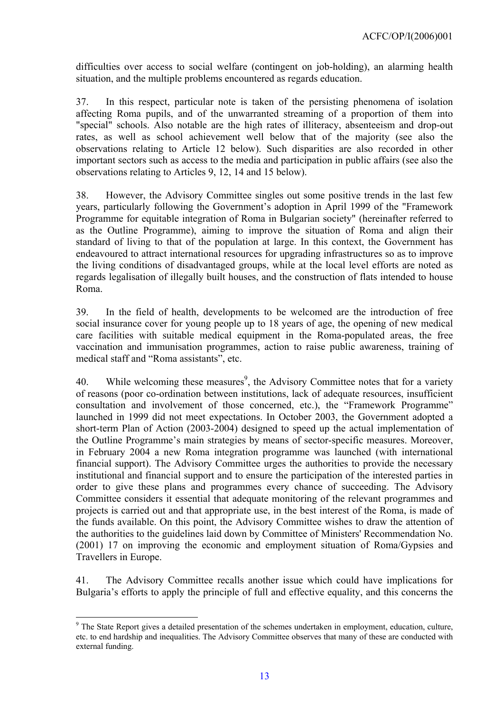difficulties over access to social welfare (contingent on job-holding), an alarming health situation, and the multiple problems encountered as regards education.

37. In this respect, particular note is taken of the persisting phenomena of isolation affecting Roma pupils, and of the unwarranted streaming of a proportion of them into "special" schools. Also notable are the high rates of illiteracy, absenteeism and drop-out rates, as well as school achievement well below that of the majority (see also the observations relating to Article 12 below). Such disparities are also recorded in other important sectors such as access to the media and participation in public affairs (see also the observations relating to Articles 9, 12, 14 and 15 below).

38. However, the Advisory Committee singles out some positive trends in the last few years, particularly following the Government's adoption in April 1999 of the "Framework Programme for equitable integration of Roma in Bulgarian society" (hereinafter referred to as the Outline Programme), aiming to improve the situation of Roma and align their standard of living to that of the population at large. In this context, the Government has endeavoured to attract international resources for upgrading infrastructures so as to improve the living conditions of disadvantaged groups, while at the local level efforts are noted as regards legalisation of illegally built houses, and the construction of flats intended to house Roma.

39. In the field of health, developments to be welcomed are the introduction of free social insurance cover for young people up to 18 years of age, the opening of new medical care facilities with suitable medical equipment in the Roma-populated areas, the free vaccination and immunisation programmes, action to raise public awareness, training of medical staff and "Roma assistants", etc.

40. While welcoming these measures<sup>[9](#page-12-0)</sup>, the Advisory Committee notes that for a variety of reasons (poor co-ordination between institutions, lack of adequate resources, insufficient consultation and involvement of those concerned, etc.), the "Framework Programme" launched in 1999 did not meet expectations. In October 2003, the Government adopted a short-term Plan of Action (2003-2004) designed to speed up the actual implementation of the Outline Programme's main strategies by means of sector-specific measures. Moreover, in February 2004 a new Roma integration programme was launched (with international financial support). The Advisory Committee urges the authorities to provide the necessary institutional and financial support and to ensure the participation of the interested parties in order to give these plans and programmes every chance of succeeding. The Advisory Committee considers it essential that adequate monitoring of the relevant programmes and projects is carried out and that appropriate use, in the best interest of the Roma, is made of the funds available. On this point, the Advisory Committee wishes to draw the attention of the authorities to the guidelines laid down by Committee of Ministers' Recommendation No. (2001) 17 on improving the economic and employment situation of Roma/Gypsies and Travellers in Europe.

41. The Advisory Committee recalls another issue which could have implications for Bulgaria's efforts to apply the principle of full and effective equality, and this concerns the

 $\overline{a}$ 

<span id="page-12-0"></span><sup>&</sup>lt;sup>9</sup> The State Report gives a detailed presentation of the schemes undertaken in employment, education, culture, etc. to end hardship and inequalities. The Advisory Committee observes that many of these are conducted with external funding.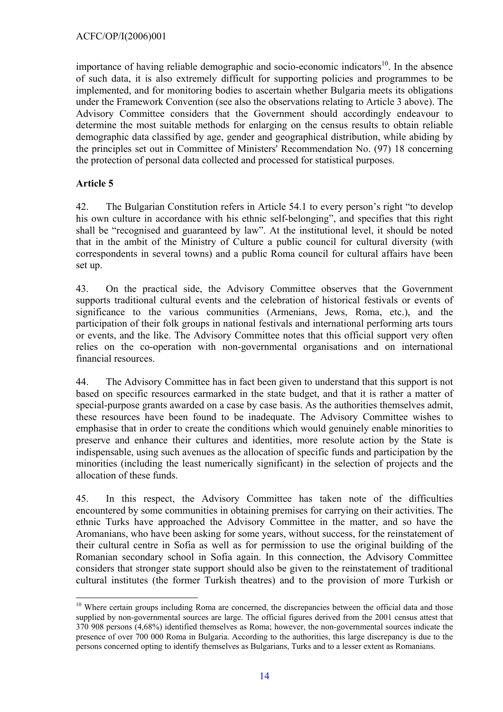<span id="page-13-0"></span>importance of having reliable demographic and socio-economic indicators<sup>10</sup>. In the absence of such data, it is also extremely difficult for supporting policies and programmes to be implemented, and for monitoring bodies to ascertain whether Bulgaria meets its obligations under the Framework Convention (see also the observations relating to Article 3 above). The Advisory Committee considers that the Government should accordingly endeavour to determine the most suitable methods for enlarging on the census results to obtain reliable demographic data classified by age, gender and geographical distribution, while abiding by the principles set out in Committee of Ministers' Recommendation No. (97) 18 concerning the protection of personal data collected and processed for statistical purposes.

# **Article 5**

 $\overline{a}$ 

42. The Bulgarian Constitution refers in Article 54.1 to every person's right "to develop his own culture in accordance with his ethnic self-belonging", and specifies that this right shall be "recognised and guaranteed by law". At the institutional level, it should be noted that in the ambit of the Ministry of Culture a public council for cultural diversity (with correspondents in several towns) and a public Roma council for cultural affairs have been set up.

43. On the practical side, the Advisory Committee observes that the Government supports traditional cultural events and the celebration of historical festivals or events of significance to the various communities (Armenians, Jews, Roma, etc.), and the participation of their folk groups in national festivals and international performing arts tours or events, and the like. The Advisory Committee notes that this official support very often relies on the co-operation with non-governmental organisations and on international financial resources.

44. The Advisory Committee has in fact been given to understand that this support is not based on specific resources earmarked in the state budget, and that it is rather a matter of special-purpose grants awarded on a case by case basis. As the authorities themselves admit, these resources have been found to be inadequate. The Advisory Committee wishes to emphasise that in order to create the conditions which would genuinely enable minorities to preserve and enhance their cultures and identities, more resolute action by the State is indispensable, using such avenues as the allocation of specific funds and participation by the minorities (including the least numerically significant) in the selection of projects and the allocation of these funds.

45. In this respect, the Advisory Committee has taken note of the difficulties encountered by some communities in obtaining premises for carrying on their activities. The ethnic Turks have approached the Advisory Committee in the matter, and so have the Aromanians, who have been asking for some years, without success, for the reinstatement of their cultural centre in Sofia as well as for permission to use the original building of the Romanian secondary school in Sofia again. In this connection, the Advisory Committee considers that stronger state support should also be given to the reinstatement of traditional cultural institutes (the former Turkish theatres) and to the provision of more Turkish or

<span id="page-13-1"></span><sup>&</sup>lt;sup>10</sup> Where certain groups including Roma are concerned, the discrepancies between the official data and those supplied by non-governmental sources are large. The official figures derived from the 2001 census attest that 370 908 persons (4,68%) identified themselves as Roma; however, the non-governmental sources indicate the presence of over 700 000 Roma in Bulgaria. According to the authorities, this large discrepancy is due to the persons concerned opting to identify themselves as Bulgarians, Turks and to a lesser extent as Romanians.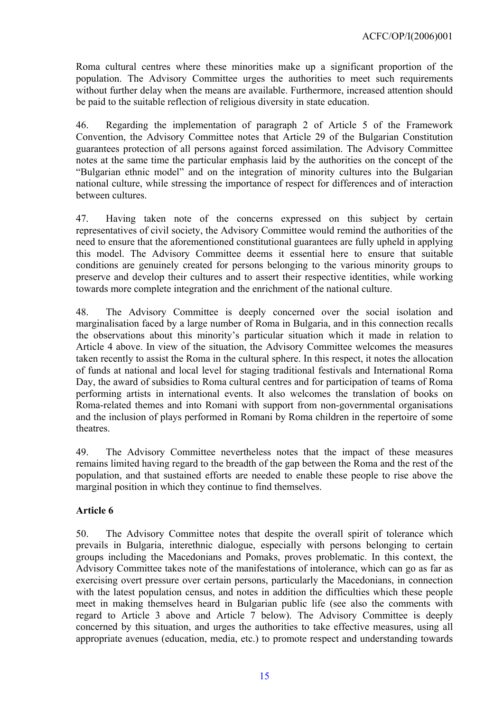<span id="page-14-0"></span>Roma cultural centres where these minorities make up a significant proportion of the population. The Advisory Committee urges the authorities to meet such requirements without further delay when the means are available. Furthermore, increased attention should be paid to the suitable reflection of religious diversity in state education.

46. Regarding the implementation of paragraph 2 of Article 5 of the Framework Convention, the Advisory Committee notes that Article 29 of the Bulgarian Constitution guarantees protection of all persons against forced assimilation. The Advisory Committee notes at the same time the particular emphasis laid by the authorities on the concept of the "Bulgarian ethnic model" and on the integration of minority cultures into the Bulgarian national culture, while stressing the importance of respect for differences and of interaction between cultures.

47. Having taken note of the concerns expressed on this subject by certain representatives of civil society, the Advisory Committee would remind the authorities of the need to ensure that the aforementioned constitutional guarantees are fully upheld in applying this model. The Advisory Committee deems it essential here to ensure that suitable conditions are genuinely created for persons belonging to the various minority groups to preserve and develop their cultures and to assert their respective identities, while working towards more complete integration and the enrichment of the national culture.

48. The Advisory Committee is deeply concerned over the social isolation and marginalisation faced by a large number of Roma in Bulgaria, and in this connection recalls the observations about this minority's particular situation which it made in relation to Article 4 above. In view of the situation, the Advisory Committee welcomes the measures taken recently to assist the Roma in the cultural sphere. In this respect, it notes the allocation of funds at national and local level for staging traditional festivals and International Roma Day, the award of subsidies to Roma cultural centres and for participation of teams of Roma performing artists in international events. It also welcomes the translation of books on Roma-related themes and into Romani with support from non-governmental organisations and the inclusion of plays performed in Romani by Roma children in the repertoire of some theatres.

49. The Advisory Committee nevertheless notes that the impact of these measures remains limited having regard to the breadth of the gap between the Roma and the rest of the population, and that sustained efforts are needed to enable these people to rise above the marginal position in which they continue to find themselves.

# **Article 6**

50. The Advisory Committee notes that despite the overall spirit of tolerance which prevails in Bulgaria, interethnic dialogue, especially with persons belonging to certain groups including the Macedonians and Pomaks, proves problematic. In this context, the Advisory Committee takes note of the manifestations of intolerance, which can go as far as exercising overt pressure over certain persons, particularly the Macedonians, in connection with the latest population census, and notes in addition the difficulties which these people meet in making themselves heard in Bulgarian public life (see also the comments with regard to Article 3 above and Article 7 below). The Advisory Committee is deeply concerned by this situation, and urges the authorities to take effective measures, using all appropriate avenues (education, media, etc.) to promote respect and understanding towards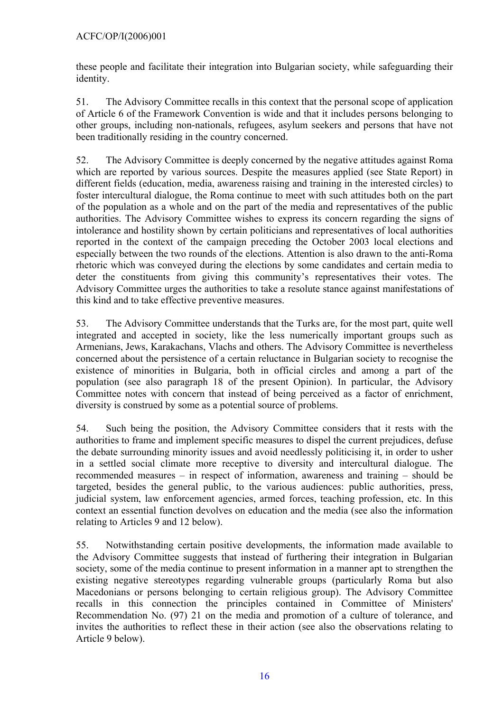these people and facilitate their integration into Bulgarian society, while safeguarding their identity.

51. The Advisory Committee recalls in this context that the personal scope of application of Article 6 of the Framework Convention is wide and that it includes persons belonging to other groups, including non-nationals, refugees, asylum seekers and persons that have not been traditionally residing in the country concerned.

52. The Advisory Committee is deeply concerned by the negative attitudes against Roma which are reported by various sources. Despite the measures applied (see State Report) in different fields (education, media, awareness raising and training in the interested circles) to foster intercultural dialogue, the Roma continue to meet with such attitudes both on the part of the population as a whole and on the part of the media and representatives of the public authorities. The Advisory Committee wishes to express its concern regarding the signs of intolerance and hostility shown by certain politicians and representatives of local authorities reported in the context of the campaign preceding the October 2003 local elections and especially between the two rounds of the elections. Attention is also drawn to the anti-Roma rhetoric which was conveyed during the elections by some candidates and certain media to deter the constituents from giving this community's representatives their votes. The Advisory Committee urges the authorities to take a resolute stance against manifestations of this kind and to take effective preventive measures.

53. The Advisory Committee understands that the Turks are, for the most part, quite well integrated and accepted in society, like the less numerically important groups such as Armenians, Jews, Karakachans, Vlachs and others. The Advisory Committee is nevertheless concerned about the persistence of a certain reluctance in Bulgarian society to recognise the existence of minorities in Bulgaria, both in official circles and among a part of the population (see also paragraph 18 of the present Opinion). In particular, the Advisory Committee notes with concern that instead of being perceived as a factor of enrichment, diversity is construed by some as a potential source of problems.

54. Such being the position, the Advisory Committee considers that it rests with the authorities to frame and implement specific measures to dispel the current prejudices, defuse the debate surrounding minority issues and avoid needlessly politicising it, in order to usher in a settled social climate more receptive to diversity and intercultural dialogue. The recommended measures – in respect of information, awareness and training – should be targeted, besides the general public, to the various audiences: public authorities, press, judicial system, law enforcement agencies, armed forces, teaching profession, etc. In this context an essential function devolves on education and the media (see also the information relating to Articles 9 and 12 below).

55. Notwithstanding certain positive developments, the information made available to the Advisory Committee suggests that instead of furthering their integration in Bulgarian society, some of the media continue to present information in a manner apt to strengthen the existing negative stereotypes regarding vulnerable groups (particularly Roma but also Macedonians or persons belonging to certain religious group). The Advisory Committee recalls in this connection the principles contained in Committee of Ministers' Recommendation No. (97) 21 on the media and promotion of a culture of tolerance, and invites the authorities to reflect these in their action (see also the observations relating to Article 9 below).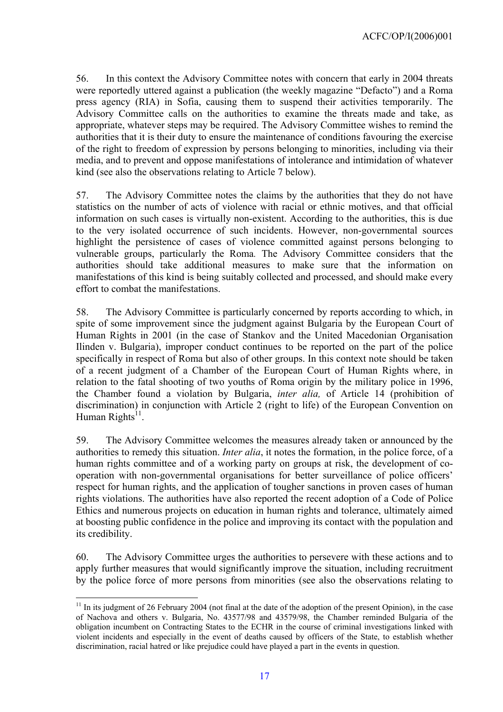56. In this context the Advisory Committee notes with concern that early in 2004 threats were reportedly uttered against a publication (the weekly magazine "Defacto") and a Roma press agency (RIA) in Sofia, causing them to suspend their activities temporarily. The Advisory Committee calls on the authorities to examine the threats made and take, as appropriate, whatever steps may be required. The Advisory Committee wishes to remind the authorities that it is their duty to ensure the maintenance of conditions favouring the exercise of the right to freedom of expression by persons belonging to minorities, including via their media, and to prevent and oppose manifestations of intolerance and intimidation of whatever kind (see also the observations relating to Article 7 below).

57. The Advisory Committee notes the claims by the authorities that they do not have statistics on the number of acts of violence with racial or ethnic motives, and that official information on such cases is virtually non-existent. According to the authorities, this is due to the very isolated occurrence of such incidents. However, non-governmental sources highlight the persistence of cases of violence committed against persons belonging to vulnerable groups, particularly the Roma*.* The Advisory Committee considers that the authorities should take additional measures to make sure that the information on manifestations of this kind is being suitably collected and processed, and should make every effort to combat the manifestations.

58. The Advisory Committee is particularly concerned by reports according to which, in spite of some improvement since the judgment against Bulgaria by the European Court of Human Rights in 2001 (in the case of Stankov and the United Macedonian Organisation Ilinden v. Bulgaria), improper conduct continues to be reported on the part of the police specifically in respect of Roma but also of other groups. In this context note should be taken of a recent judgment of a Chamber of the European Court of Human Rights where, in relation to the fatal shooting of two youths of Roma origin by the military police in 1996, the Chamber found a violation by Bulgaria, *inter alia,* of Article 14 (prohibition of discrimination) in conjunction with Article 2 (right to life) of the European Convention on Human Rights $11$ .

59. The Advisory Committee welcomes the measures already taken or announced by the authorities to remedy this situation. *Inter alia*, it notes the formation, in the police force, of a human rights committee and of a working party on groups at risk, the development of cooperation with non-governmental organisations for better surveillance of police officers' respect for human rights, and the application of tougher sanctions in proven cases of human rights violations. The authorities have also reported the recent adoption of a Code of Police Ethics and numerous projects on education in human rights and tolerance, ultimately aimed at boosting public confidence in the police and improving its contact with the population and its credibility.

60. The Advisory Committee urges the authorities to persevere with these actions and to apply further measures that would significantly improve the situation, including recruitment by the police force of more persons from minorities (see also the observations relating to

 $\overline{a}$ 

<span id="page-16-0"></span> $11$  In its judgment of 26 February 2004 (not final at the date of the adoption of the present Opinion), in the case of Nachova and others v. Bulgaria, No. 43577/98 and 43579/98, the Chamber reminded Bulgaria of the obligation incumbent on Contracting States to the ECHR in the course of criminal investigations linked with violent incidents and especially in the event of deaths caused by officers of the State, to establish whether discrimination, racial hatred or like prejudice could have played a part in the events in question.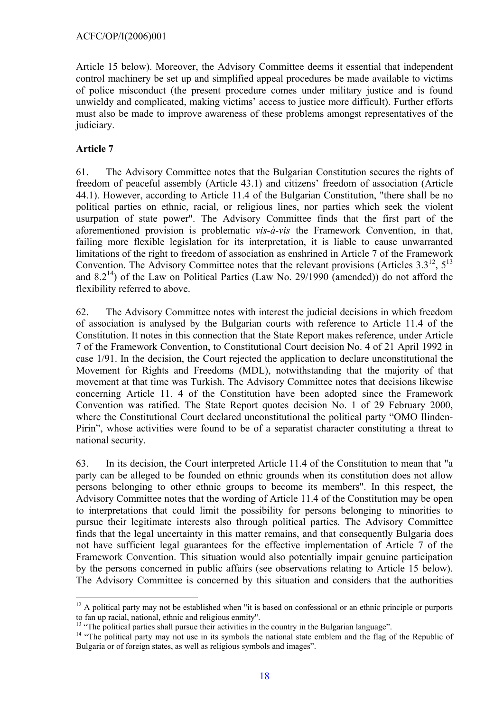<span id="page-17-0"></span>Article 15 below). Moreover, the Advisory Committee deems it essential that independent control machinery be set up and simplified appeal procedures be made available to victims of police misconduct (the present procedure comes under military justice and is found unwieldy and complicated, making victims' access to justice more difficult). Further efforts must also be made to improve awareness of these problems amongst representatives of the judiciary.

# **Article 7**

 $\overline{a}$ 

61. The Advisory Committee notes that the Bulgarian Constitution secures the rights of freedom of peaceful assembly (Article 43.1) and citizens' freedom of association (Article 44.1). However, according to Article 11.4 of the Bulgarian Constitution, "there shall be no political parties on ethnic, racial, or religious lines, nor parties which seek the violent usurpation of state power". The Advisory Committee finds that the first part of the aforementioned provision is problematic *vis-à-vis* the Framework Convention, in that, failing more flexible legislation for its interpretation, it is liable to cause unwarranted limitations of the right to freedom of association as enshrined in Article 7 of the Framework Convention. The Advisory Committee notes that the relevant provisions (Articles  $3.3^{12}$ ,  $5^{13}$ ) and  $8.2^{14}$ ) of the Law on Political Parties (Law No. 29/1990 (amended)) do not afford the flexibility referred to above.

62. The Advisory Committee notes with interest the judicial decisions in which freedom of association is analysed by the Bulgarian courts with reference to Article 11.4 of the Constitution. It notes in this connection that the State Report makes reference, under Article 7 of the Framework Convention, to Constitutional Court decision No. 4 of 21 April 1992 in case 1/91. In the decision, the Court rejected the application to declare unconstitutional the Movement for Rights and Freedoms (MDL), notwithstanding that the majority of that movement at that time was Turkish. The Advisory Committee notes that decisions likewise concerning Article 11. 4 of the Constitution have been adopted since the Framework Convention was ratified. The State Report quotes decision No. 1 of 29 February 2000, where the Constitutional Court declared unconstitutional the political party "OMO Ilinden-Pirin", whose activities were found to be of a separatist character constituting a threat to national security.

63. In its decision, the Court interpreted Article 11.4 of the Constitution to mean that "a party can be alleged to be founded on ethnic grounds when its constitution does not allow persons belonging to other ethnic groups to become its members". In this respect, the Advisory Committee notes that the wording of Article 11.4 of the Constitution may be open to interpretations that could limit the possibility for persons belonging to minorities to pursue their legitimate interests also through political parties. The Advisory Committee finds that the legal uncertainty in this matter remains, and that consequently Bulgaria does not have sufficient legal guarantees for the effective implementation of Article 7 of the Framework Convention. This situation would also potentially impair genuine participation by the persons concerned in public affairs (see observations relating to Article 15 below). The Advisory Committee is concerned by this situation and considers that the authorities

<span id="page-17-1"></span> $12$  A political party may not be established when "it is based on confessional or an ethnic principle or purports to fan up racial, national, ethnic and religious enmity".

<span id="page-17-3"></span><span id="page-17-2"></span>

<sup>&</sup>lt;sup>13</sup> "The political parties shall pursue their activities in the country in the Bulgarian language".<br><sup>14</sup> "The political party may not use in its symbols the national state emblem and the flag of the Republic of Bulgaria or of foreign states, as well as religious symbols and images".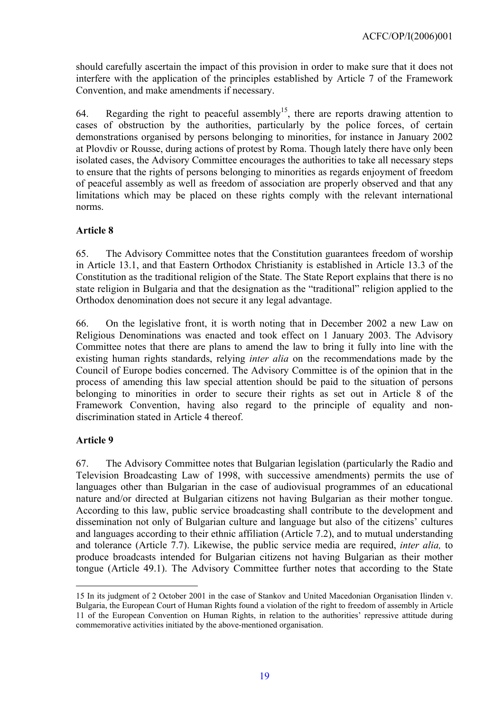<span id="page-18-0"></span>should carefully ascertain the impact of this provision in order to make sure that it does not interfere with the application of the principles established by Article 7 of the Framework Convention, and make amendments if necessary.

64. Regarding the right to peaceful assembly<sup>15</sup>, there are reports drawing attention to cases of obstruction by the authorities, particularly by the police forces, of certain demonstrations organised by persons belonging to minorities, for instance in January 2002 at Plovdiv or Rousse, during actions of protest by Roma. Though lately there have only been isolated cases, the Advisory Committee encourages the authorities to take all necessary steps to ensure that the rights of persons belonging to minorities as regards enjoyment of freedom of peaceful assembly as well as freedom of association are properly observed and that any limitations which may be placed on these rights comply with the relevant international norms.

### **Article 8**

65. The Advisory Committee notes that the Constitution guarantees freedom of worship in Article 13.1, and that Eastern Orthodox Christianity is established in Article 13.3 of the Constitution as the traditional religion of the State. The State Report explains that there is no state religion in Bulgaria and that the designation as the "traditional" religion applied to the Orthodox denomination does not secure it any legal advantage.

66. On the legislative front, it is worth noting that in December 2002 a new Law on Religious Denominations was enacted and took effect on 1 January 2003. The Advisory Committee notes that there are plans to amend the law to bring it fully into line with the existing human rights standards, relying *inter alia* on the recommendations made by the Council of Europe bodies concerned. The Advisory Committee is of the opinion that in the process of amending this law special attention should be paid to the situation of persons belonging to minorities in order to secure their rights as set out in Article 8 of the Framework Convention, having also regard to the principle of equality and nondiscrimination stated in Article 4 thereof.

# **Article 9**

 $\overline{a}$ 

67. The Advisory Committee notes that Bulgarian legislation (particularly the Radio and Television Broadcasting Law of 1998, with successive amendments) permits the use of languages other than Bulgarian in the case of audiovisual programmes of an educational nature and/or directed at Bulgarian citizens not having Bulgarian as their mother tongue. According to this law, public service broadcasting shall contribute to the development and dissemination not only of Bulgarian culture and language but also of the citizens' cultures and languages according to their ethnic affiliation (Article 7.2), and to mutual understanding and tolerance (Article 7.7). Likewise, the public service media are required, *inter alia,* to produce broadcasts intended for Bulgarian citizens not having Bulgarian as their mother tongue (Article 49.1). The Advisory Committee further notes that according to the State

<span id="page-18-1"></span><sup>15</sup> In its judgment of 2 October 2001 in the case of Stankov and United Macedonian Organisation Ilinden v. Bulgaria, the European Court of Human Rights found a violation of the right to freedom of assembly in Article 11 of the European Convention on Human Rights, in relation to the authorities' repressive attitude during commemorative activities initiated by the above-mentioned organisation.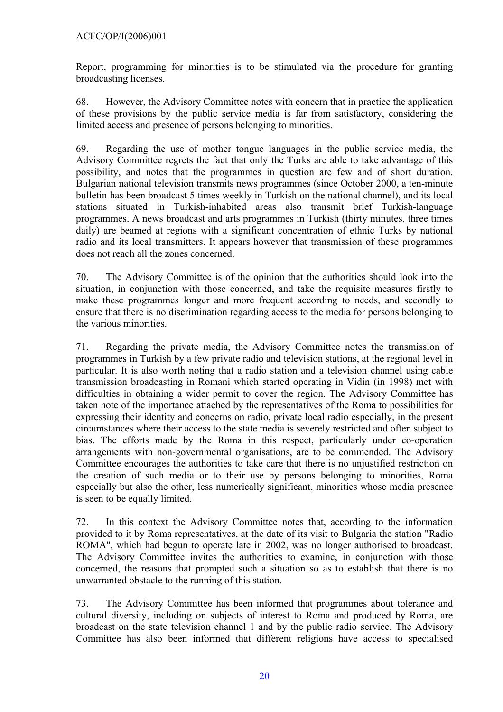### ACFC/OP/I(2006)001

Report, programming for minorities is to be stimulated via the procedure for granting broadcasting licenses.

68. However, the Advisory Committee notes with concern that in practice the application of these provisions by the public service media is far from satisfactory, considering the limited access and presence of persons belonging to minorities.

69. Regarding the use of mother tongue languages in the public service media, the Advisory Committee regrets the fact that only the Turks are able to take advantage of this possibility, and notes that the programmes in question are few and of short duration. Bulgarian national television transmits news programmes (since October 2000, a ten-minute bulletin has been broadcast 5 times weekly in Turkish on the national channel), and its local stations situated in Turkish-inhabited areas also transmit brief Turkish-language programmes. A news broadcast and arts programmes in Turkish (thirty minutes, three times daily) are beamed at regions with a significant concentration of ethnic Turks by national radio and its local transmitters. It appears however that transmission of these programmes does not reach all the zones concerned.

70. The Advisory Committee is of the opinion that the authorities should look into the situation, in conjunction with those concerned, and take the requisite measures firstly to make these programmes longer and more frequent according to needs, and secondly to ensure that there is no discrimination regarding access to the media for persons belonging to the various minorities.

71. Regarding the private media, the Advisory Committee notes the transmission of programmes in Turkish by a few private radio and television stations, at the regional level in particular. It is also worth noting that a radio station and a television channel using cable transmission broadcasting in Romani which started operating in Vidin (in 1998) met with difficulties in obtaining a wider permit to cover the region. The Advisory Committee has taken note of the importance attached by the representatives of the Roma to possibilities for expressing their identity and concerns on radio, private local radio especially, in the present circumstances where their access to the state media is severely restricted and often subject to bias. The efforts made by the Roma in this respect, particularly under co-operation arrangements with non-governmental organisations, are to be commended. The Advisory Committee encourages the authorities to take care that there is no unjustified restriction on the creation of such media or to their use by persons belonging to minorities, Roma especially but also the other, less numerically significant, minorities whose media presence is seen to be equally limited.

72. In this context the Advisory Committee notes that, according to the information provided to it by Roma representatives, at the date of its visit to Bulgaria the station "Radio ROMA", which had begun to operate late in 2002, was no longer authorised to broadcast. The Advisory Committee invites the authorities to examine, in conjunction with those concerned, the reasons that prompted such a situation so as to establish that there is no unwarranted obstacle to the running of this station.

73. The Advisory Committee has been informed that programmes about tolerance and cultural diversity, including on subjects of interest to Roma and produced by Roma, are broadcast on the state television channel 1 and by the public radio service. The Advisory Committee has also been informed that different religions have access to specialised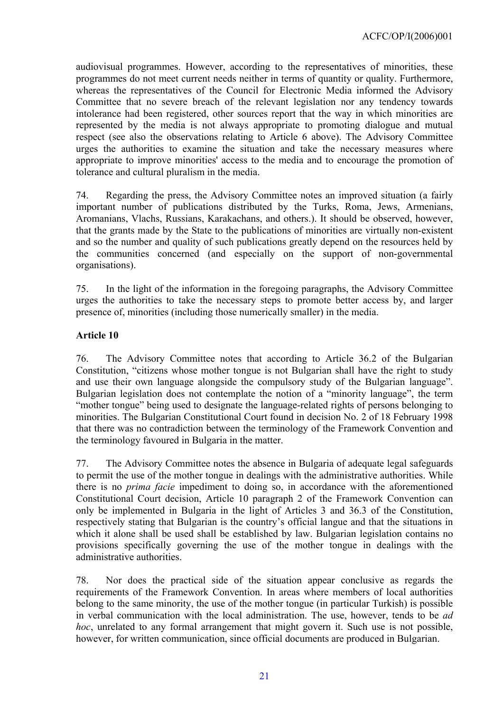<span id="page-20-0"></span>audiovisual programmes. However, according to the representatives of minorities, these programmes do not meet current needs neither in terms of quantity or quality. Furthermore, whereas the representatives of the Council for Electronic Media informed the Advisory Committee that no severe breach of the relevant legislation nor any tendency towards intolerance had been registered, other sources report that the way in which minorities are represented by the media is not always appropriate to promoting dialogue and mutual respect (see also the observations relating to Article 6 above). The Advisory Committee urges the authorities to examine the situation and take the necessary measures where appropriate to improve minorities' access to the media and to encourage the promotion of tolerance and cultural pluralism in the media.

74. Regarding the press, the Advisory Committee notes an improved situation (a fairly important number of publications distributed by the Turks, Roma, Jews, Armenians, Aromanians, Vlachs, Russians, Karakachans, and others.). It should be observed, however, that the grants made by the State to the publications of minorities are virtually non-existent and so the number and quality of such publications greatly depend on the resources held by the communities concerned (and especially on the support of non-governmental organisations).

75. In the light of the information in the foregoing paragraphs, the Advisory Committee urges the authorities to take the necessary steps to promote better access by, and larger presence of, minorities (including those numerically smaller) in the media.

### **Article 10**

76. The Advisory Committee notes that according to Article 36.2 of the Bulgarian Constitution, "citizens whose mother tongue is not Bulgarian shall have the right to study and use their own language alongside the compulsory study of the Bulgarian language". Bulgarian legislation does not contemplate the notion of a "minority language", the term "mother tongue" being used to designate the language-related rights of persons belonging to minorities. The Bulgarian Constitutional Court found in decision No. 2 of 18 February 1998 that there was no contradiction between the terminology of the Framework Convention and the terminology favoured in Bulgaria in the matter.

77. The Advisory Committee notes the absence in Bulgaria of adequate legal safeguards to permit the use of the mother tongue in dealings with the administrative authorities. While there is no *prima facie* impediment to doing so, in accordance with the aforementioned Constitutional Court decision, Article 10 paragraph 2 of the Framework Convention can only be implemented in Bulgaria in the light of Articles 3 and 36.3 of the Constitution, respectively stating that Bulgarian is the country's official langue and that the situations in which it alone shall be used shall be established by law. Bulgarian legislation contains no provisions specifically governing the use of the mother tongue in dealings with the administrative authorities.

78. Nor does the practical side of the situation appear conclusive as regards the requirements of the Framework Convention. In areas where members of local authorities belong to the same minority, the use of the mother tongue (in particular Turkish) is possible in verbal communication with the local administration. The use, however, tends to be *ad hoc*, unrelated to any formal arrangement that might govern it. Such use is not possible, however, for written communication, since official documents are produced in Bulgarian.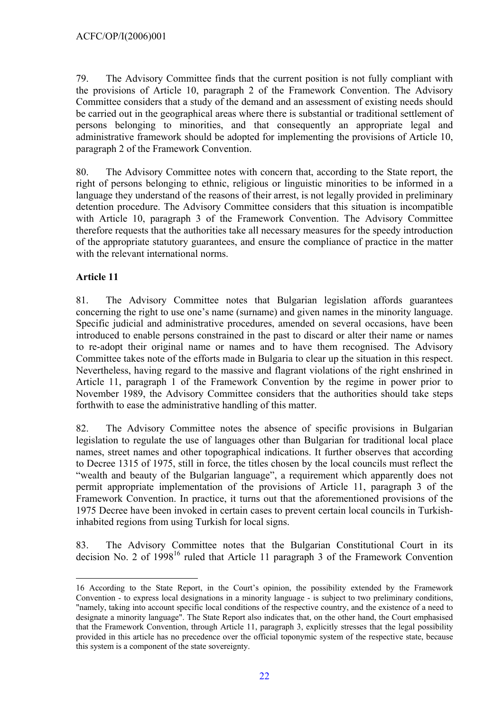<span id="page-21-0"></span>79. The Advisory Committee finds that the current position is not fully compliant with the provisions of Article 10, paragraph 2 of the Framework Convention. The Advisory Committee considers that a study of the demand and an assessment of existing needs should be carried out in the geographical areas where there is substantial or traditional settlement of persons belonging to minorities, and that consequently an appropriate legal and administrative framework should be adopted for implementing the provisions of Article 10, paragraph 2 of the Framework Convention.

80. The Advisory Committee notes with concern that, according to the State report, the right of persons belonging to ethnic, religious or linguistic minorities to be informed in a language they understand of the reasons of their arrest, is not legally provided in preliminary detention procedure. The Advisory Committee considers that this situation is incompatible with Article 10, paragraph 3 of the Framework Convention. The Advisory Committee therefore requests that the authorities take all necessary measures for the speedy introduction of the appropriate statutory guarantees, and ensure the compliance of practice in the matter with the relevant international norms.

# **Article 11**

81. The Advisory Committee notes that Bulgarian legislation affords guarantees concerning the right to use one's name (surname) and given names in the minority language. Specific judicial and administrative procedures, amended on several occasions, have been introduced to enable persons constrained in the past to discard or alter their name or names to re-adopt their original name or names and to have them recognised. The Advisory Committee takes note of the efforts made in Bulgaria to clear up the situation in this respect. Nevertheless, having regard to the massive and flagrant violations of the right enshrined in Article 11, paragraph 1 of the Framework Convention by the regime in power prior to November 1989, the Advisory Committee considers that the authorities should take steps forthwith to ease the administrative handling of this matter.

82. The Advisory Committee notes the absence of specific provisions in Bulgarian legislation to regulate the use of languages other than Bulgarian for traditional local place names, street names and other topographical indications. It further observes that according to Decree 1315 of 1975, still in force, the titles chosen by the local councils must reflect the "wealth and beauty of the Bulgarian language", a requirement which apparently does not permit appropriate implementation of the provisions of Article 11, paragraph 3 of the Framework Convention. In practice, it turns out that the aforementioned provisions of the 1975 Decree have been invoked in certain cases to prevent certain local councils in Turkishinhabited regions from using Turkish for local signs.

83. The Advisory Committee notes that the Bulgarian Constitutional Court in its decision No. 2 of 1998<sup>16</sup> ruled that Article 11 paragraph 3 of the Framework Convention

<span id="page-21-1"></span> $\overline{a}$ 16 According to the State Report, in the Court's opinion, the possibility extended by the Framework Convention - to express local designations in a minority language - is subject to two preliminary conditions, "namely, taking into account specific local conditions of the respective country, and the existence of a need to designate a minority language". The State Report also indicates that, on the other hand, the Court emphasised that the Framework Convention, through Article 11, paragraph 3, explicitly stresses that the legal possibility provided in this article has no precedence over the official toponymic system of the respective state, because this system is a component of the state sovereignty.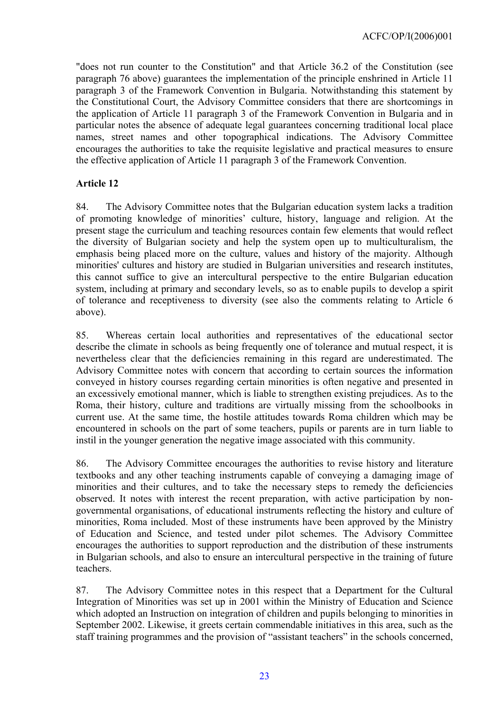<span id="page-22-0"></span>"does not run counter to the Constitution" and that Article 36.2 of the Constitution (see paragraph 76 above) guarantees the implementation of the principle enshrined in Article 11 paragraph 3 of the Framework Convention in Bulgaria. Notwithstanding this statement by the Constitutional Court, the Advisory Committee considers that there are shortcomings in the application of Article 11 paragraph 3 of the Framework Convention in Bulgaria and in particular notes the absence of adequate legal guarantees concerning traditional local place names, street names and other topographical indications. The Advisory Committee encourages the authorities to take the requisite legislative and practical measures to ensure the effective application of Article 11 paragraph 3 of the Framework Convention.

### **Article 12**

84. The Advisory Committee notes that the Bulgarian education system lacks a tradition of promoting knowledge of minorities' culture, history, language and religion. At the present stage the curriculum and teaching resources contain few elements that would reflect the diversity of Bulgarian society and help the system open up to multiculturalism, the emphasis being placed more on the culture, values and history of the majority. Although minorities' cultures and history are studied in Bulgarian universities and research institutes, this cannot suffice to give an intercultural perspective to the entire Bulgarian education system, including at primary and secondary levels, so as to enable pupils to develop a spirit of tolerance and receptiveness to diversity (see also the comments relating to Article 6 above).

85. Whereas certain local authorities and representatives of the educational sector describe the climate in schools as being frequently one of tolerance and mutual respect, it is nevertheless clear that the deficiencies remaining in this regard are underestimated. The Advisory Committee notes with concern that according to certain sources the information conveyed in history courses regarding certain minorities is often negative and presented in an excessively emotional manner, which is liable to strengthen existing prejudices. As to the Roma, their history, culture and traditions are virtually missing from the schoolbooks in current use. At the same time, the hostile attitudes towards Roma children which may be encountered in schools on the part of some teachers, pupils or parents are in turn liable to instil in the younger generation the negative image associated with this community.

86. The Advisory Committee encourages the authorities to revise history and literature textbooks and any other teaching instruments capable of conveying a damaging image of minorities and their cultures, and to take the necessary steps to remedy the deficiencies observed. It notes with interest the recent preparation, with active participation by nongovernmental organisations, of educational instruments reflecting the history and culture of minorities, Roma included. Most of these instruments have been approved by the Ministry of Education and Science, and tested under pilot schemes. The Advisory Committee encourages the authorities to support reproduction and the distribution of these instruments in Bulgarian schools, and also to ensure an intercultural perspective in the training of future teachers.

87. The Advisory Committee notes in this respect that a Department for the Cultural Integration of Minorities was set up in 2001 within the Ministry of Education and Science which adopted an Instruction on integration of children and pupils belonging to minorities in September 2002. Likewise, it greets certain commendable initiatives in this area, such as the staff training programmes and the provision of "assistant teachers" in the schools concerned,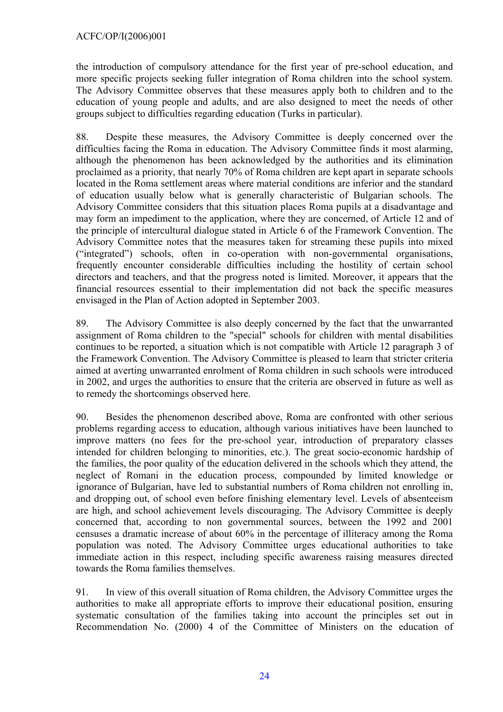the introduction of compulsory attendance for the first year of pre-school education, and more specific projects seeking fuller integration of Roma children into the school system. The Advisory Committee observes that these measures apply both to children and to the education of young people and adults, and are also designed to meet the needs of other groups subject to difficulties regarding education (Turks in particular).

88. Despite these measures, the Advisory Committee is deeply concerned over the difficulties facing the Roma in education. The Advisory Committee finds it most alarming, although the phenomenon has been acknowledged by the authorities and its elimination proclaimed as a priority, that nearly 70% of Roma children are kept apart in separate schools located in the Roma settlement areas where material conditions are inferior and the standard of education usually below what is generally characteristic of Bulgarian schools. The Advisory Committee considers that this situation places Roma pupils at a disadvantage and may form an impediment to the application, where they are concerned, of Article 12 and of the principle of intercultural dialogue stated in Article 6 of the Framework Convention. The Advisory Committee notes that the measures taken for streaming these pupils into mixed ("integrated") schools, often in co-operation with non-governmental organisations, frequently encounter considerable difficulties including the hostility of certain school directors and teachers, and that the progress noted is limited. Moreover, it appears that the financial resources essential to their implementation did not back the specific measures envisaged in the Plan of Action adopted in September 2003.

89. The Advisory Committee is also deeply concerned by the fact that the unwarranted assignment of Roma children to the "special" schools for children with mental disabilities continues to be reported, a situation which is not compatible with Article 12 paragraph 3 of the Framework Convention. The Advisory Committee is pleased to learn that stricter criteria aimed at averting unwarranted enrolment of Roma children in such schools were introduced in 2002, and urges the authorities to ensure that the criteria are observed in future as well as to remedy the shortcomings observed here.

90. Besides the phenomenon described above, Roma are confronted with other serious problems regarding access to education, although various initiatives have been launched to improve matters (no fees for the pre-school year, introduction of preparatory classes intended for children belonging to minorities, etc.). The great socio-economic hardship of the families, the poor quality of the education delivered in the schools which they attend, the neglect of Romani in the education process, compounded by limited knowledge or ignorance of Bulgarian, have led to substantial numbers of Roma children not enrolling in, and dropping out, of school even before finishing elementary level. Levels of absenteeism are high, and school achievement levels discouraging. The Advisory Committee is deeply concerned that, according to non governmental sources, between the 1992 and 2001 censuses a dramatic increase of about 60% in the percentage of illiteracy among the Roma population was noted. The Advisory Committee urges educational authorities to take immediate action in this respect, including specific awareness raising measures directed towards the Roma families themselves.

91. In view of this overall situation of Roma children, the Advisory Committee urges the authorities to make all appropriate efforts to improve their educational position, ensuring systematic consultation of the families taking into account the principles set out in Recommendation No. (2000) 4 of the Committee of Ministers on the education of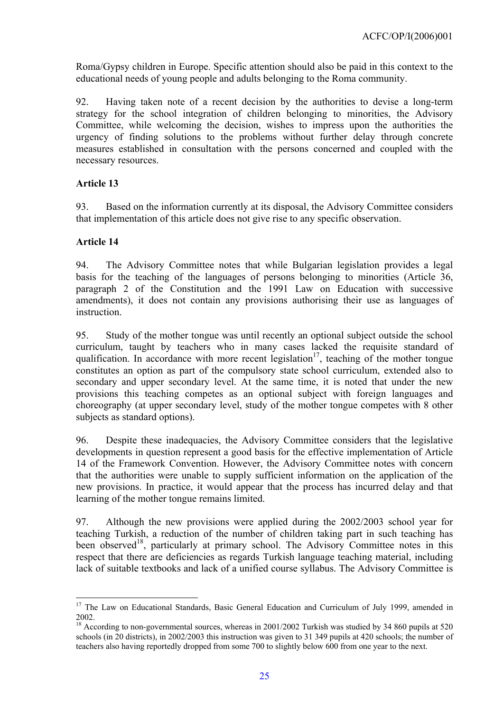<span id="page-24-0"></span>Roma/Gypsy children in Europe. Specific attention should also be paid in this context to the educational needs of young people and adults belonging to the Roma community.

92. Having taken note of a recent decision by the authorities to devise a long-term strategy for the school integration of children belonging to minorities, the Advisory Committee, while welcoming the decision, wishes to impress upon the authorities the urgency of finding solutions to the problems without further delay through concrete measures established in consultation with the persons concerned and coupled with the necessary resources.

# **Article 13**

93. Based on the information currently at its disposal, the Advisory Committee considers that implementation of this article does not give rise to any specific observation.

# **Article 14**

 $\overline{a}$ 

94. The Advisory Committee notes that while Bulgarian legislation provides a legal basis for the teaching of the languages of persons belonging to minorities (Article 36, paragraph 2 of the Constitution and the 1991 Law on Education with successive amendments), it does not contain any provisions authorising their use as languages of instruction.

95. Study of the mother tongue was until recently an optional subject outside the school curriculum, taught by teachers who in many cases lacked the requisite standard of qualification. In accordance with more recent legislation<sup>17</sup>, teaching of the mother tongue constitutes an option as part of the compulsory state school curriculum, extended also to secondary and upper secondary level. At the same time, it is noted that under the new provisions this teaching competes as an optional subject with foreign languages and choreography (at upper secondary level, study of the mother tongue competes with 8 other subjects as standard options).

96. Despite these inadequacies, the Advisory Committee considers that the legislative developments in question represent a good basis for the effective implementation of Article 14 of the Framework Convention. However, the Advisory Committee notes with concern that the authorities were unable to supply sufficient information on the application of the new provisions. In practice, it would appear that the process has incurred delay and that learning of the mother tongue remains limited.

97. Although the new provisions were applied during the 2002/2003 school year for teaching Turkish, a reduction of the number of children taking part in such teaching has been observed<sup>18</sup>, particularly at primary school. The Advisory Committee notes in this respect that there are deficiencies as regards Turkish language teaching material, including lack of suitable textbooks and lack of a unified course syllabus. The Advisory Committee is

<span id="page-24-1"></span><sup>&</sup>lt;sup>17</sup> The Law on Educational Standards, Basic General Education and Curriculum of July 1999, amended in 2002.<br><sup>18</sup> According to non-governmental sources, whereas in 2001/2002 Turkish was studied by 34 860 pupils at 520

<span id="page-24-2"></span>schools (in 20 districts), in 2002/2003 this instruction was given to 31 349 pupils at 420 schools; the number of teachers also having reportedly dropped from some 700 to slightly below 600 from one year to the next.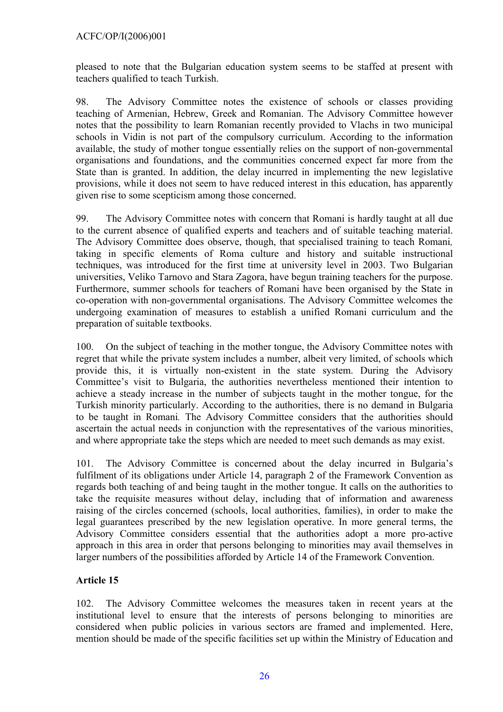<span id="page-25-0"></span>pleased to note that the Bulgarian education system seems to be staffed at present with teachers qualified to teach Turkish.

98. The Advisory Committee notes the existence of schools or classes providing teaching of Armenian, Hebrew, Greek and Romanian. The Advisory Committee however notes that the possibility to learn Romanian recently provided to Vlachs in two municipal schools in Vidin is not part of the compulsory curriculum. According to the information available, the study of mother tongue essentially relies on the support of non-governmental organisations and foundations, and the communities concerned expect far more from the State than is granted. In addition, the delay incurred in implementing the new legislative provisions, while it does not seem to have reduced interest in this education, has apparently given rise to some scepticism among those concerned.

99. The Advisory Committee notes with concern that Romani is hardly taught at all due to the current absence of qualified experts and teachers and of suitable teaching material. The Advisory Committee does observe, though, that specialised training to teach Romani*,*  taking in specific elements of Roma culture and history and suitable instructional techniques, was introduced for the first time at university level in 2003. Two Bulgarian universities, Veliko Tarnovo and Stara Zagora, have begun training teachers for the purpose. Furthermore, summer schools for teachers of Romani have been organised by the State in co-operation with non-governmental organisations. The Advisory Committee welcomes the undergoing examination of measures to establish a unified Romani curriculum and the preparation of suitable textbooks.

100. On the subject of teaching in the mother tongue, the Advisory Committee notes with regret that while the private system includes a number, albeit very limited, of schools which provide this, it is virtually non-existent in the state system. During the Advisory Committee's visit to Bulgaria, the authorities nevertheless mentioned their intention to achieve a steady increase in the number of subjects taught in the mother tongue, for the Turkish minority particularly. According to the authorities, there is no demand in Bulgaria to be taught in Romani*.* The Advisory Committee considers that the authorities should ascertain the actual needs in conjunction with the representatives of the various minorities, and where appropriate take the steps which are needed to meet such demands as may exist.

101. The Advisory Committee is concerned about the delay incurred in Bulgaria's fulfilment of its obligations under Article 14, paragraph 2 of the Framework Convention as regards both teaching of and being taught in the mother tongue. It calls on the authorities to take the requisite measures without delay, including that of information and awareness raising of the circles concerned (schools, local authorities, families), in order to make the legal guarantees prescribed by the new legislation operative. In more general terms, the Advisory Committee considers essential that the authorities adopt a more pro-active approach in this area in order that persons belonging to minorities may avail themselves in larger numbers of the possibilities afforded by Article 14 of the Framework Convention.

# **Article 15**

102. The Advisory Committee welcomes the measures taken in recent years at the institutional level to ensure that the interests of persons belonging to minorities are considered when public policies in various sectors are framed and implemented. Here, mention should be made of the specific facilities set up within the Ministry of Education and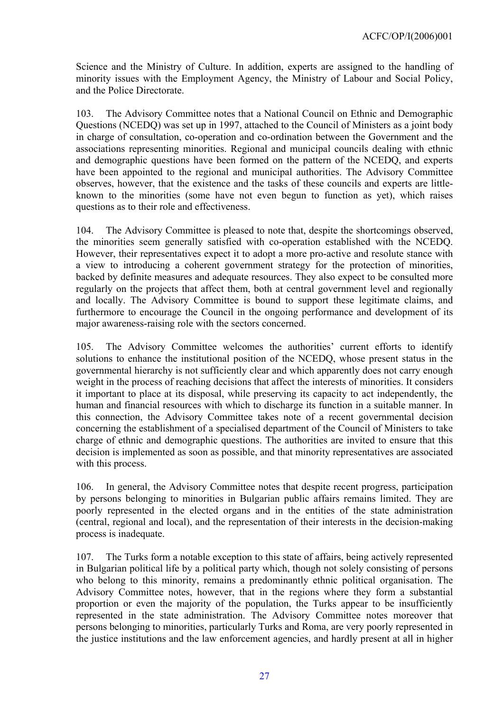Science and the Ministry of Culture. In addition, experts are assigned to the handling of minority issues with the Employment Agency, the Ministry of Labour and Social Policy, and the Police Directorate.

103. The Advisory Committee notes that a National Council on Ethnic and Demographic Questions (NCEDQ) was set up in 1997, attached to the Council of Ministers as a joint body in charge of consultation, co-operation and co-ordination between the Government and the associations representing minorities. Regional and municipal councils dealing with ethnic and demographic questions have been formed on the pattern of the NCEDQ, and experts have been appointed to the regional and municipal authorities. The Advisory Committee observes, however, that the existence and the tasks of these councils and experts are littleknown to the minorities (some have not even begun to function as yet), which raises questions as to their role and effectiveness.

104. The Advisory Committee is pleased to note that, despite the shortcomings observed, the minorities seem generally satisfied with co-operation established with the NCEDQ. However, their representatives expect it to adopt a more pro-active and resolute stance with a view to introducing a coherent government strategy for the protection of minorities, backed by definite measures and adequate resources. They also expect to be consulted more regularly on the projects that affect them, both at central government level and regionally and locally. The Advisory Committee is bound to support these legitimate claims, and furthermore to encourage the Council in the ongoing performance and development of its major awareness-raising role with the sectors concerned.

105. The Advisory Committee welcomes the authorities' current efforts to identify solutions to enhance the institutional position of the NCEDQ, whose present status in the governmental hierarchy is not sufficiently clear and which apparently does not carry enough weight in the process of reaching decisions that affect the interests of minorities. It considers it important to place at its disposal, while preserving its capacity to act independently, the human and financial resources with which to discharge its function in a suitable manner. In this connection, the Advisory Committee takes note of a recent governmental decision concerning the establishment of a specialised department of the Council of Ministers to take charge of ethnic and demographic questions. The authorities are invited to ensure that this decision is implemented as soon as possible, and that minority representatives are associated with this process.

106. In general, the Advisory Committee notes that despite recent progress, participation by persons belonging to minorities in Bulgarian public affairs remains limited. They are poorly represented in the elected organs and in the entities of the state administration (central, regional and local), and the representation of their interests in the decision-making process is inadequate.

107. The Turks form a notable exception to this state of affairs, being actively represented in Bulgarian political life by a political party which, though not solely consisting of persons who belong to this minority, remains a predominantly ethnic political organisation. The Advisory Committee notes, however, that in the regions where they form a substantial proportion or even the majority of the population, the Turks appear to be insufficiently represented in the state administration. The Advisory Committee notes moreover that persons belonging to minorities, particularly Turks and Roma, are very poorly represented in the justice institutions and the law enforcement agencies, and hardly present at all in higher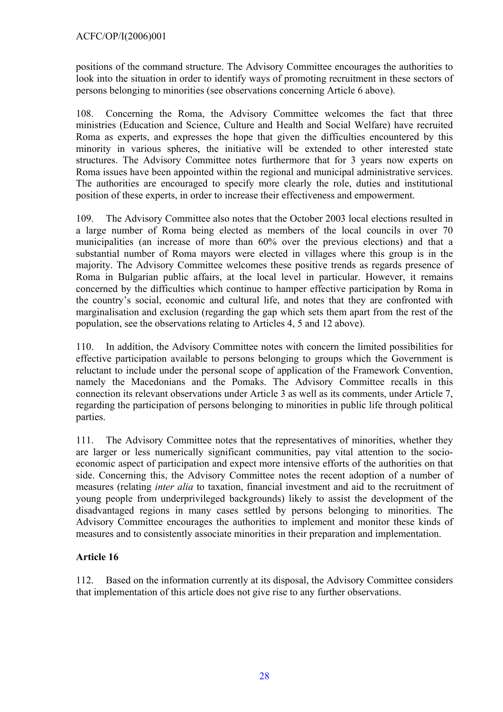<span id="page-27-0"></span>positions of the command structure. The Advisory Committee encourages the authorities to look into the situation in order to identify ways of promoting recruitment in these sectors of persons belonging to minorities (see observations concerning Article 6 above).

108. Concerning the Roma, the Advisory Committee welcomes the fact that three ministries (Education and Science, Culture and Health and Social Welfare) have recruited Roma as experts, and expresses the hope that given the difficulties encountered by this minority in various spheres, the initiative will be extended to other interested state structures. The Advisory Committee notes furthermore that for 3 years now experts on Roma issues have been appointed within the regional and municipal administrative services. The authorities are encouraged to specify more clearly the role, duties and institutional position of these experts, in order to increase their effectiveness and empowerment.

109. The Advisory Committee also notes that the October 2003 local elections resulted in a large number of Roma being elected as members of the local councils in over 70 municipalities (an increase of more than 60% over the previous elections) and that a substantial number of Roma mayors were elected in villages where this group is in the majority. The Advisory Committee welcomes these positive trends as regards presence of Roma in Bulgarian public affairs, at the local level in particular. However, it remains concerned by the difficulties which continue to hamper effective participation by Roma in the country's social, economic and cultural life, and notes that they are confronted with marginalisation and exclusion (regarding the gap which sets them apart from the rest of the population, see the observations relating to Articles 4, 5 and 12 above).

110. In addition, the Advisory Committee notes with concern the limited possibilities for effective participation available to persons belonging to groups which the Government is reluctant to include under the personal scope of application of the Framework Convention, namely the Macedonians and the Pomaks. The Advisory Committee recalls in this connection its relevant observations under Article 3 as well as its comments, under Article 7, regarding the participation of persons belonging to minorities in public life through political parties.

111. The Advisory Committee notes that the representatives of minorities, whether they are larger or less numerically significant communities, pay vital attention to the socioeconomic aspect of participation and expect more intensive efforts of the authorities on that side. Concerning this, the Advisory Committee notes the recent adoption of a number of measures (relating *inter alia* to taxation, financial investment and aid to the recruitment of young people from underprivileged backgrounds) likely to assist the development of the disadvantaged regions in many cases settled by persons belonging to minorities. The Advisory Committee encourages the authorities to implement and monitor these kinds of measures and to consistently associate minorities in their preparation and implementation.

# **Article 16**

112. Based on the information currently at its disposal, the Advisory Committee considers that implementation of this article does not give rise to any further observations.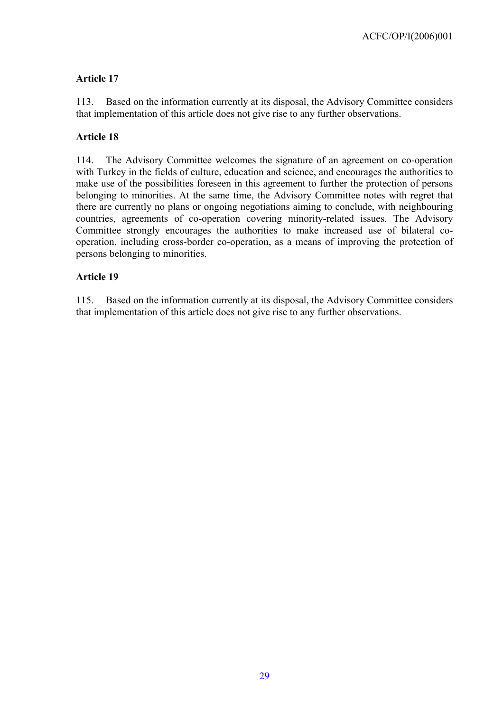### <span id="page-28-0"></span>**Article 17**

113. Based on the information currently at its disposal, the Advisory Committee considers that implementation of this article does not give rise to any further observations.

### **Article 18**

114. The Advisory Committee welcomes the signature of an agreement on co-operation with Turkey in the fields of culture, education and science, and encourages the authorities to make use of the possibilities foreseen in this agreement to further the protection of persons belonging to minorities. At the same time, the Advisory Committee notes with regret that there are currently no plans or ongoing negotiations aiming to conclude, with neighbouring countries, agreements of co-operation covering minority-related issues. The Advisory Committee strongly encourages the authorities to make increased use of bilateral cooperation, including cross-border co-operation, as a means of improving the protection of persons belonging to minorities.

### **Article 19**

115. Based on the information currently at its disposal, the Advisory Committee considers that implementation of this article does not give rise to any further observations.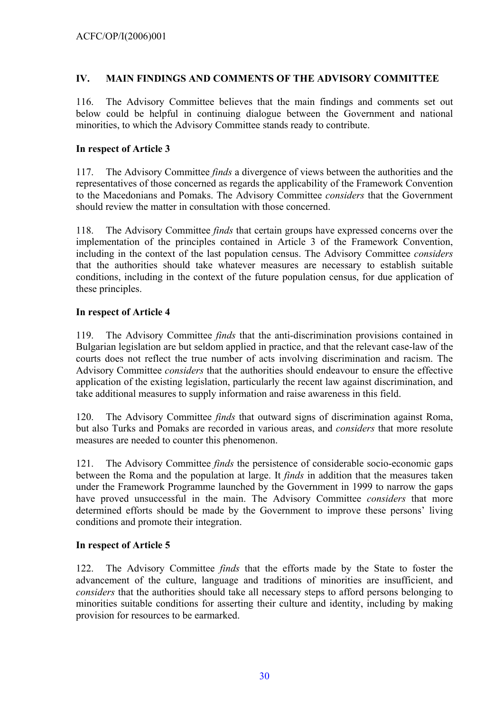### <span id="page-29-0"></span>**IV. MAIN FINDINGS AND COMMENTS OF THE ADVISORY COMMITTEE**

116. The Advisory Committee believes that the main findings and comments set out below could be helpful in continuing dialogue between the Government and national minorities, to which the Advisory Committee stands ready to contribute.

### **In respect of Article 3**

117. The Advisory Committee *finds* a divergence of views between the authorities and the representatives of those concerned as regards the applicability of the Framework Convention to the Macedonians and Pomaks. The Advisory Committee *considers* that the Government should review the matter in consultation with those concerned.

118. The Advisory Committee *finds* that certain groups have expressed concerns over the implementation of the principles contained in Article 3 of the Framework Convention, including in the context of the last population census. The Advisory Committee *considers* that the authorities should take whatever measures are necessary to establish suitable conditions, including in the context of the future population census, for due application of these principles.

### **In respect of Article 4**

119. The Advisory Committee *finds* that the anti-discrimination provisions contained in Bulgarian legislation are but seldom applied in practice, and that the relevant case-law of the courts does not reflect the true number of acts involving discrimination and racism. The Advisory Committee *considers* that the authorities should endeavour to ensure the effective application of the existing legislation, particularly the recent law against discrimination, and take additional measures to supply information and raise awareness in this field.

120. The Advisory Committee *finds* that outward signs of discrimination against Roma, but also Turks and Pomaks are recorded in various areas, and *considers* that more resolute measures are needed to counter this phenomenon.

121. The Advisory Committee *finds* the persistence of considerable socio-economic gaps between the Roma and the population at large. It *finds* in addition that the measures taken under the Framework Programme launched by the Government in 1999 to narrow the gaps have proved unsuccessful in the main. The Advisory Committee *considers* that more determined efforts should be made by the Government to improve these persons' living conditions and promote their integration.

# **In respect of Article 5**

122. The Advisory Committee *finds* that the efforts made by the State to foster the advancement of the culture, language and traditions of minorities are insufficient, and *considers* that the authorities should take all necessary steps to afford persons belonging to minorities suitable conditions for asserting their culture and identity, including by making provision for resources to be earmarked.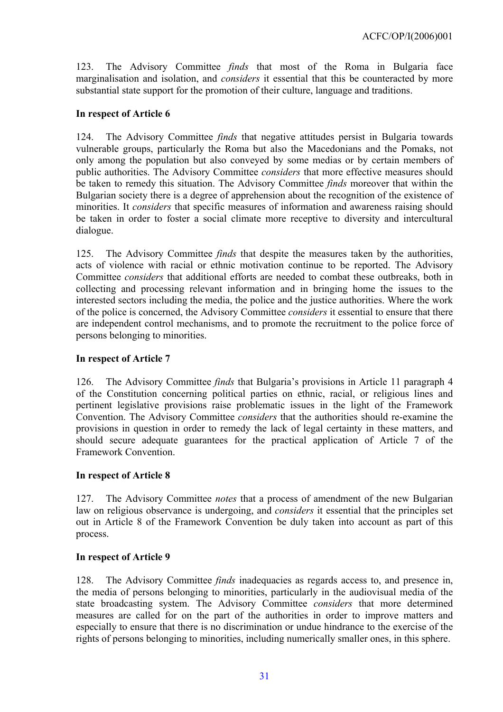<span id="page-30-0"></span>123. The Advisory Committee *finds* that most of the Roma in Bulgaria face marginalisation and isolation, and *considers* it essential that this be counteracted by more substantial state support for the promotion of their culture, language and traditions.

### **In respect of Article 6**

124. The Advisory Committee *finds* that negative attitudes persist in Bulgaria towards vulnerable groups, particularly the Roma but also the Macedonians and the Pomaks, not only among the population but also conveyed by some medias or by certain members of public authorities. The Advisory Committee *considers* that more effective measures should be taken to remedy this situation. The Advisory Committee *finds* moreover that within the Bulgarian society there is a degree of apprehension about the recognition of the existence of minorities. It *considers* that specific measures of information and awareness raising should be taken in order to foster a social climate more receptive to diversity and intercultural dialogue.

125. The Advisory Committee *finds* that despite the measures taken by the authorities, acts of violence with racial or ethnic motivation continue to be reported. The Advisory Committee *considers* that additional efforts are needed to combat these outbreaks, both in collecting and processing relevant information and in bringing home the issues to the interested sectors including the media, the police and the justice authorities. Where the work of the police is concerned, the Advisory Committee *considers* it essential to ensure that there are independent control mechanisms, and to promote the recruitment to the police force of persons belonging to minorities.

### **In respect of Article 7**

126. The Advisory Committee *finds* that Bulgaria's provisions in Article 11 paragraph 4 of the Constitution concerning political parties on ethnic, racial, or religious lines and pertinent legislative provisions raise problematic issues in the light of the Framework Convention. The Advisory Committee *considers* that the authorities should re-examine the provisions in question in order to remedy the lack of legal certainty in these matters, and should secure adequate guarantees for the practical application of Article 7 of the Framework Convention.

#### **In respect of Article 8**

127. The Advisory Committee *notes* that a process of amendment of the new Bulgarian law on religious observance is undergoing, and *considers* it essential that the principles set out in Article 8 of the Framework Convention be duly taken into account as part of this process.

#### **In respect of Article 9**

128. The Advisory Committee *finds* inadequacies as regards access to, and presence in, the media of persons belonging to minorities, particularly in the audiovisual media of the state broadcasting system. The Advisory Committee *considers* that more determined measures are called for on the part of the authorities in order to improve matters and especially to ensure that there is no discrimination or undue hindrance to the exercise of the rights of persons belonging to minorities, including numerically smaller ones, in this sphere.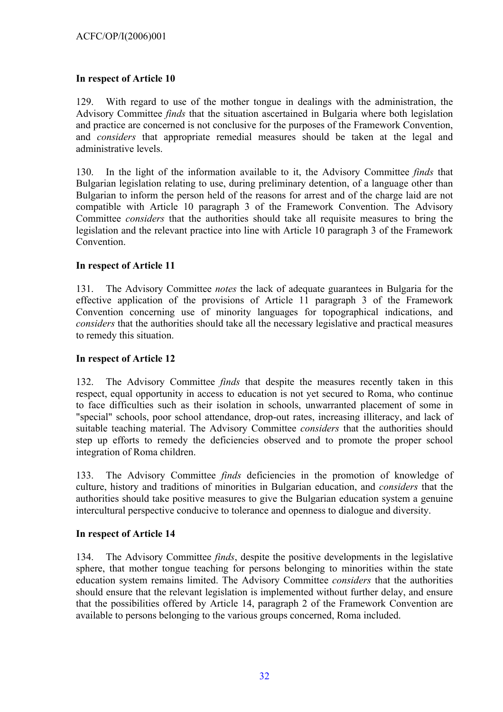### <span id="page-31-0"></span>**In respect of Article 10**

129. With regard to use of the mother tongue in dealings with the administration, the Advisory Committee *finds* that the situation ascertained in Bulgaria where both legislation and practice are concerned is not conclusive for the purposes of the Framework Convention, and *considers* that appropriate remedial measures should be taken at the legal and administrative levels.

130. In the light of the information available to it, the Advisory Committee *finds* that Bulgarian legislation relating to use, during preliminary detention, of a language other than Bulgarian to inform the person held of the reasons for arrest and of the charge laid are not compatible with Article 10 paragraph 3 of the Framework Convention. The Advisory Committee *considers* that the authorities should take all requisite measures to bring the legislation and the relevant practice into line with Article 10 paragraph 3 of the Framework Convention.

### **In respect of Article 11**

131. The Advisory Committee *notes* the lack of adequate guarantees in Bulgaria for the effective application of the provisions of Article 11 paragraph 3 of the Framework Convention concerning use of minority languages for topographical indications, and *considers* that the authorities should take all the necessary legislative and practical measures to remedy this situation.

#### **In respect of Article 12**

132. The Advisory Committee *finds* that despite the measures recently taken in this respect, equal opportunity in access to education is not yet secured to Roma, who continue to face difficulties such as their isolation in schools, unwarranted placement of some in "special" schools, poor school attendance, drop-out rates, increasing illiteracy, and lack of suitable teaching material. The Advisory Committee *considers* that the authorities should step up efforts to remedy the deficiencies observed and to promote the proper school integration of Roma children.

133. The Advisory Committee *finds* deficiencies in the promotion of knowledge of culture, history and traditions of minorities in Bulgarian education, and *considers* that the authorities should take positive measures to give the Bulgarian education system a genuine intercultural perspective conducive to tolerance and openness to dialogue and diversity.

#### **In respect of Article 14**

134. The Advisory Committee *finds*, despite the positive developments in the legislative sphere, that mother tongue teaching for persons belonging to minorities within the state education system remains limited. The Advisory Committee *considers* that the authorities should ensure that the relevant legislation is implemented without further delay, and ensure that the possibilities offered by Article 14, paragraph 2 of the Framework Convention are available to persons belonging to the various groups concerned, Roma included.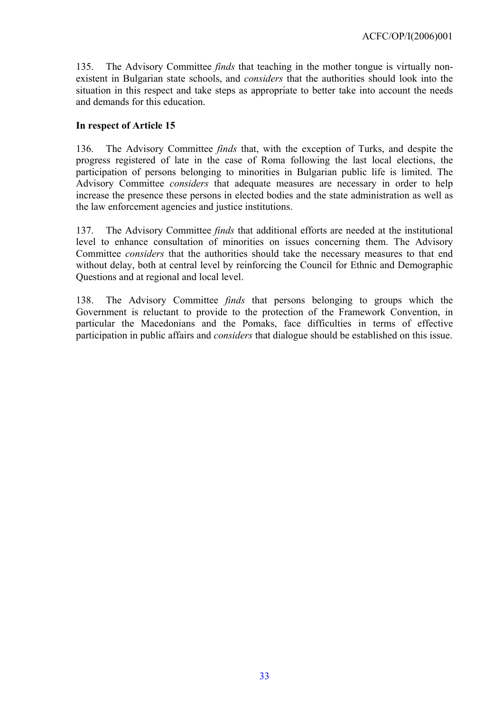<span id="page-32-0"></span>135. The Advisory Committee *finds* that teaching in the mother tongue is virtually nonexistent in Bulgarian state schools, and *considers* that the authorities should look into the situation in this respect and take steps as appropriate to better take into account the needs and demands for this education.

#### **In respect of Article 15**

136. The Advisory Committee *finds* that, with the exception of Turks, and despite the progress registered of late in the case of Roma following the last local elections, the participation of persons belonging to minorities in Bulgarian public life is limited. The Advisory Committee *considers* that adequate measures are necessary in order to help increase the presence these persons in elected bodies and the state administration as well as the law enforcement agencies and justice institutions.

137. The Advisory Committee *finds* that additional efforts are needed at the institutional level to enhance consultation of minorities on issues concerning them. The Advisory Committee *considers* that the authorities should take the necessary measures to that end without delay, both at central level by reinforcing the Council for Ethnic and Demographic Questions and at regional and local level.

138. The Advisory Committee *finds* that persons belonging to groups which the Government is reluctant to provide to the protection of the Framework Convention, in particular the Macedonians and the Pomaks, face difficulties in terms of effective participation in public affairs and *considers* that dialogue should be established on this issue.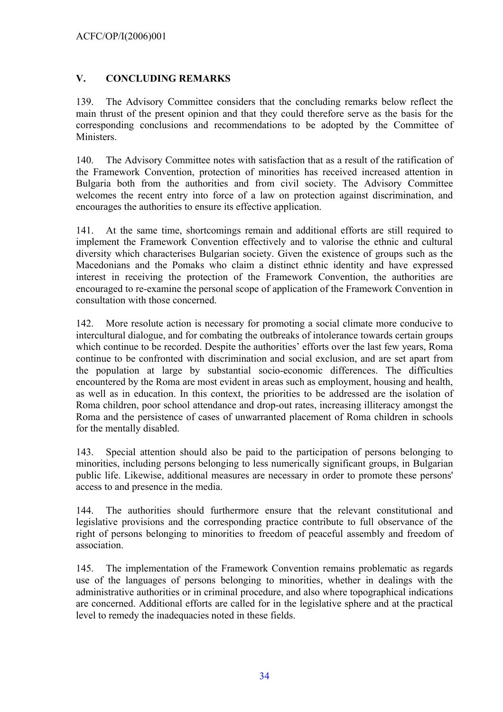### <span id="page-33-0"></span>**V. CONCLUDING REMARKS**

139. The Advisory Committee considers that the concluding remarks below reflect the main thrust of the present opinion and that they could therefore serve as the basis for the corresponding conclusions and recommendations to be adopted by the Committee of Ministers.

140. The Advisory Committee notes with satisfaction that as a result of the ratification of the Framework Convention, protection of minorities has received increased attention in Bulgaria both from the authorities and from civil society. The Advisory Committee welcomes the recent entry into force of a law on protection against discrimination, and encourages the authorities to ensure its effective application.

141. At the same time, shortcomings remain and additional efforts are still required to implement the Framework Convention effectively and to valorise the ethnic and cultural diversity which characterises Bulgarian society. Given the existence of groups such as the Macedonians and the Pomaks who claim a distinct ethnic identity and have expressed interest in receiving the protection of the Framework Convention, the authorities are encouraged to re-examine the personal scope of application of the Framework Convention in consultation with those concerned.

142. More resolute action is necessary for promoting a social climate more conducive to intercultural dialogue, and for combating the outbreaks of intolerance towards certain groups which continue to be recorded. Despite the authorities' efforts over the last few years, Roma continue to be confronted with discrimination and social exclusion, and are set apart from the population at large by substantial socio-economic differences. The difficulties encountered by the Roma are most evident in areas such as employment, housing and health, as well as in education. In this context, the priorities to be addressed are the isolation of Roma children, poor school attendance and drop-out rates, increasing illiteracy amongst the Roma and the persistence of cases of unwarranted placement of Roma children in schools for the mentally disabled.

143. Special attention should also be paid to the participation of persons belonging to minorities, including persons belonging to less numerically significant groups, in Bulgarian public life. Likewise, additional measures are necessary in order to promote these persons' access to and presence in the media.

144. The authorities should furthermore ensure that the relevant constitutional and legislative provisions and the corresponding practice contribute to full observance of the right of persons belonging to minorities to freedom of peaceful assembly and freedom of association.

145. The implementation of the Framework Convention remains problematic as regards use of the languages of persons belonging to minorities, whether in dealings with the administrative authorities or in criminal procedure, and also where topographical indications are concerned. Additional efforts are called for in the legislative sphere and at the practical level to remedy the inadequacies noted in these fields.